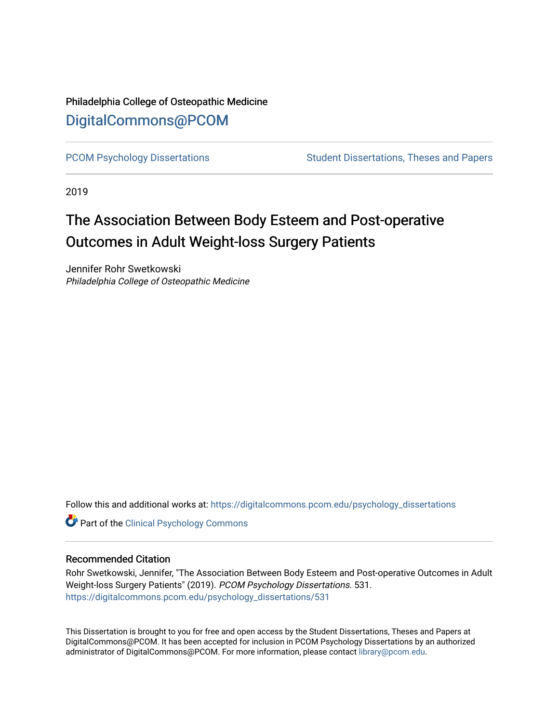## Philadelphia College of Osteopathic Medicine [DigitalCommons@PCOM](https://digitalcommons.pcom.edu/)

[PCOM Psychology Dissertations](https://digitalcommons.pcom.edu/psychology_dissertations) Student Dissertations, Theses and Papers

2019

# The Association Between Body Esteem and Post-operative Outcomes in Adult Weight-loss Surgery Patients

Jennifer Rohr Swetkowski Philadelphia College of Osteopathic Medicine

Follow this and additional works at: [https://digitalcommons.pcom.edu/psychology\\_dissertations](https://digitalcommons.pcom.edu/psychology_dissertations?utm_source=digitalcommons.pcom.edu%2Fpsychology_dissertations%2F531&utm_medium=PDF&utm_campaign=PDFCoverPages)

**Part of the Clinical Psychology Commons** 

#### Recommended Citation

Rohr Swetkowski, Jennifer, "The Association Between Body Esteem and Post-operative Outcomes in Adult Weight-loss Surgery Patients" (2019). PCOM Psychology Dissertations. 531. [https://digitalcommons.pcom.edu/psychology\\_dissertations/531](https://digitalcommons.pcom.edu/psychology_dissertations/531?utm_source=digitalcommons.pcom.edu%2Fpsychology_dissertations%2F531&utm_medium=PDF&utm_campaign=PDFCoverPages) 

This Dissertation is brought to you for free and open access by the Student Dissertations, Theses and Papers at DigitalCommons@PCOM. It has been accepted for inclusion in PCOM Psychology Dissertations by an authorized administrator of DigitalCommons@PCOM. For more information, please contact [library@pcom.edu.](mailto:library@pcom.edu)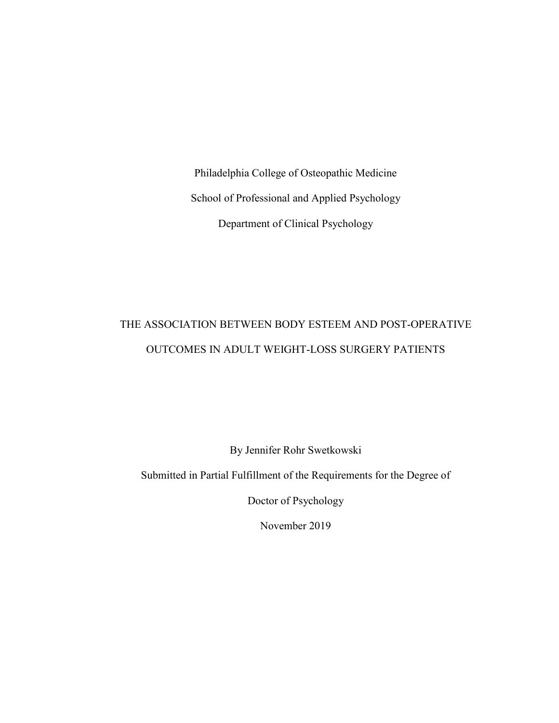Philadelphia College of Osteopathic Medicine School of Professional and Applied Psychology Department of Clinical Psychology

## THE ASSOCIATION BETWEEN BODY ESTEEM AND POST-OPERATIVE OUTCOMES IN ADULT WEIGHT-LOSS SURGERY PATIENTS

By Jennifer Rohr Swetkowski

Submitted in Partial Fulfillment of the Requirements for the Degree of

Doctor of Psychology

November 2019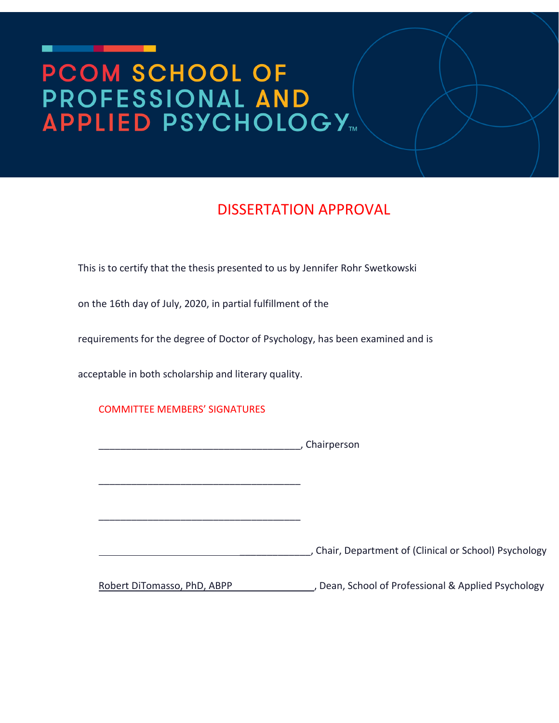# PCOM SCHOOL OF **PROFESSIONAL AND<br>APPLIED PSYCHOLOGY...**

## DISSERTATION APPROVAL

This is to certify that the thesis presented to us by Jennifer Rohr Swetkowski

on the 16th day of July, 2020, in partial fulfillment of the

requirements for the degree of Doctor of Psychology, has been examined and is

acceptable in both scholarship and literary quality.

COMMITTEE MEMBERS' SIGNATURES

|                             | , Chairperson                                        |
|-----------------------------|------------------------------------------------------|
|                             |                                                      |
|                             |                                                      |
|                             |                                                      |
|                             | Chair, Department of (Clinical or School) Psychology |
| Robert DiTomasso, PhD, ABPP | Dean, School of Professional & Applied Psychology    |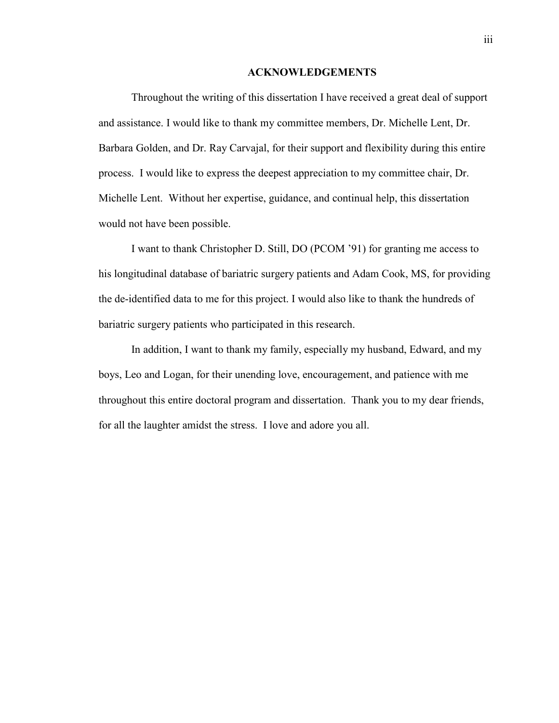#### **ACKNOWLEDGEMENTS**

Throughout the writing of this dissertation I have received a great deal of support and assistance. I would like to thank my committee members, Dr. Michelle Lent, Dr. Barbara Golden, and Dr. Ray Carvajal, for their support and flexibility during this entire process. I would like to express the deepest appreciation to my committee chair, Dr. Michelle Lent. Without her expertise, guidance, and continual help, this dissertation would not have been possible.

I want to thank Christopher D. Still, DO (PCOM '91) for granting me access to his longitudinal database of bariatric surgery patients and Adam Cook, MS, for providing the de-identified data to me for this project. I would also like to thank the hundreds of bariatric surgery patients who participated in this research.

In addition, I want to thank my family, especially my husband, Edward, and my boys, Leo and Logan, for their unending love, encouragement, and patience with me throughout this entire doctoral program and dissertation. Thank you to my dear friends, for all the laughter amidst the stress. I love and adore you all.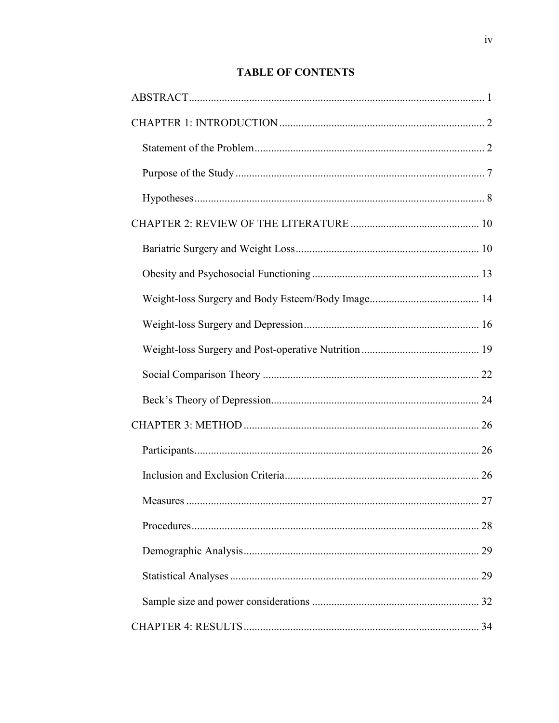### **TABLE OF CONTENTS**

| $\ldots$ 27 |
|-------------|
|             |
|             |
|             |
|             |
|             |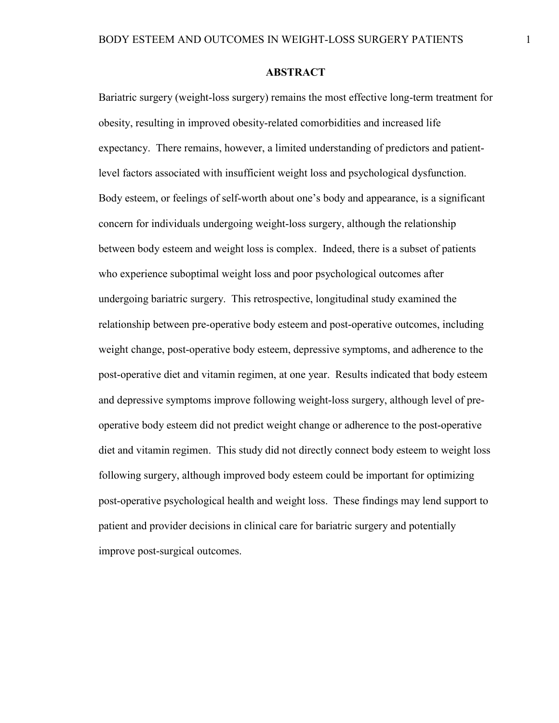#### **ABSTRACT**

<span id="page-6-0"></span>Bariatric surgery (weight-loss surgery) remains the most effective long-term treatment for obesity, resulting in improved obesity-related comorbidities and increased life expectancy. There remains, however, a limited understanding of predictors and patientlevel factors associated with insufficient weight loss and psychological dysfunction. Body esteem, or feelings of self-worth about one's body and appearance, is a significant concern for individuals undergoing weight-loss surgery, although the relationship between body esteem and weight loss is complex. Indeed, there is a subset of patients who experience suboptimal weight loss and poor psychological outcomes after undergoing bariatric surgery. This retrospective, longitudinal study examined the relationship between pre-operative body esteem and post-operative outcomes, including weight change, post-operative body esteem, depressive symptoms, and adherence to the post-operative diet and vitamin regimen, at one year. Results indicated that body esteem and depressive symptoms improve following weight-loss surgery, although level of preoperative body esteem did not predict weight change or adherence to the post-operative diet and vitamin regimen. This study did not directly connect body esteem to weight loss following surgery, although improved body esteem could be important for optimizing post-operative psychological health and weight loss. These findings may lend support to patient and provider decisions in clinical care for bariatric surgery and potentially improve post-surgical outcomes.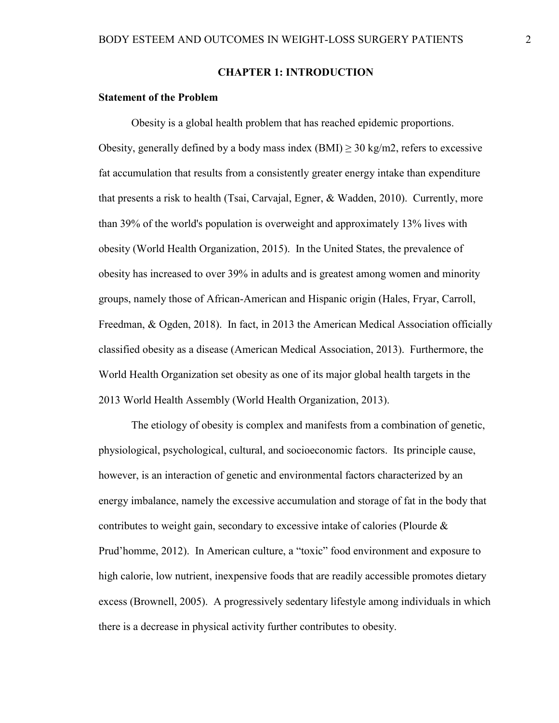#### **CHAPTER 1: INTRODUCTION**

#### <span id="page-7-1"></span><span id="page-7-0"></span>**Statement of the Problem**

Obesity is a global health problem that has reached epidemic proportions. Obesity, generally defined by a body mass index  $(BMI) \ge 30$  kg/m2, refers to excessive fat accumulation that results from a consistently greater energy intake than expenditure that presents a risk to health (Tsai, Carvajal, Egner, & Wadden, 2010). Currently, more than 39% of the world's population is overweight and approximately 13% lives with obesity (World Health Organization, 2015). In the United States, the prevalence of obesity has increased to over 39% in adults and is greatest among women and minority groups, namely those of African-American and Hispanic origin (Hales, Fryar, Carroll, Freedman, & Ogden, 2018). In fact, in 2013 the American Medical Association officially classified obesity as a disease (American Medical Association, 2013). Furthermore, the World Health Organization set obesity as one of its major global health targets in the 2013 World Health Assembly (World Health Organization, 2013).

The etiology of obesity is complex and manifests from a combination of genetic, physiological, psychological, cultural, and socioeconomic factors. Its principle cause, however, is an interaction of genetic and environmental factors characterized by an energy imbalance, namely the excessive accumulation and storage of fat in the body that contributes to weight gain, secondary to excessive intake of calories (Plourde & Prud'homme, 2012). In American culture, a "toxic" food environment and exposure to high calorie, low nutrient, inexpensive foods that are readily accessible promotes dietary excess (Brownell, 2005). A progressively sedentary lifestyle among individuals in which there is a decrease in physical activity further contributes to obesity.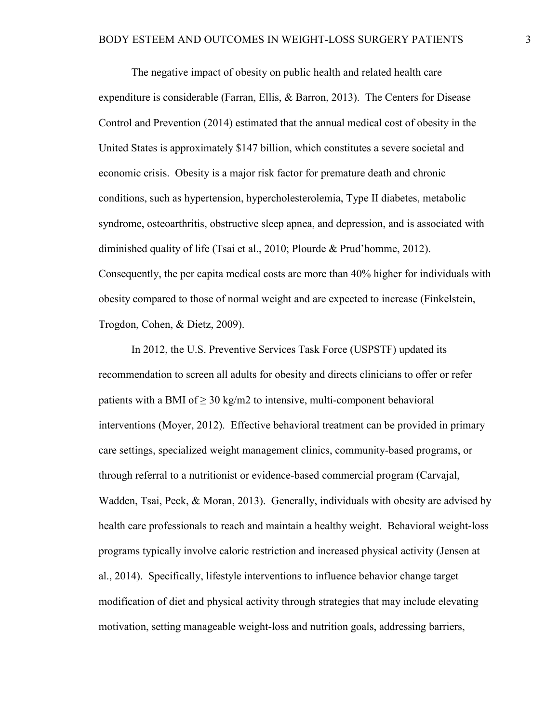The negative impact of obesity on public health and related health care expenditure is considerable (Farran, Ellis, & Barron, 2013). The Centers for Disease Control and Prevention (2014) estimated that the annual medical cost of obesity in the United States is approximately \$147 billion, which constitutes a severe societal and economic crisis. Obesity is a major risk factor for premature death and chronic conditions, such as hypertension, hypercholesterolemia, Type II diabetes, metabolic syndrome, osteoarthritis, obstructive sleep apnea, and depression, and is associated with diminished quality of life (Tsai et al., 2010; Plourde & Prud'homme, 2012). Consequently, the per capita medical costs are more than 40% higher for individuals with obesity compared to those of normal weight and are expected to increase (Finkelstein, Trogdon, Cohen, & Dietz, 2009).

In 2012, the U.S. Preventive Services Task Force (USPSTF) updated its recommendation to screen all adults for obesity and directs clinicians to offer or refer patients with a BMI of  $\geq 30 \text{ kg/m2}$  to intensive, multi-component behavioral interventions (Moyer, 2012). Effective behavioral treatment can be provided in primary care settings, specialized weight management clinics, community-based programs, or through referral to a nutritionist or evidence-based commercial program (Carvajal, Wadden, Tsai, Peck, & Moran, 2013). Generally, individuals with obesity are advised by health care professionals to reach and maintain a healthy weight. Behavioral weight-loss programs typically involve caloric restriction and increased physical activity (Jensen at al., 2014). Specifically, lifestyle interventions to influence behavior change target modification of diet and physical activity through strategies that may include elevating motivation, setting manageable weight-loss and nutrition goals, addressing barriers,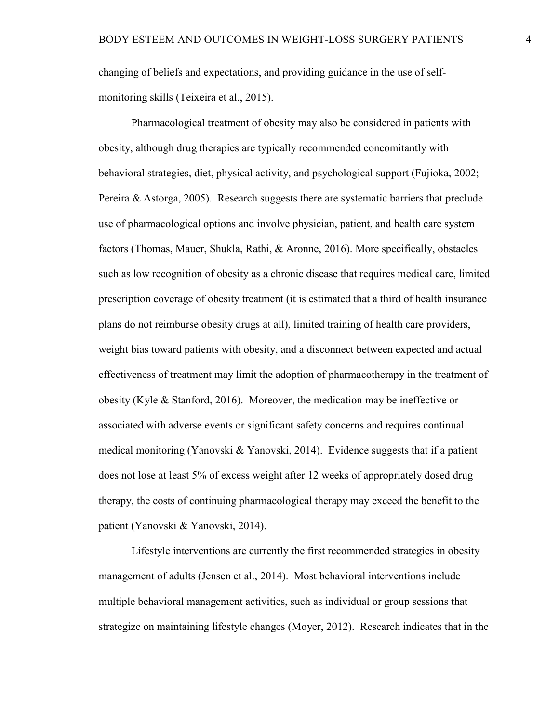changing of beliefs and expectations, and providing guidance in the use of selfmonitoring skills (Teixeira et al., 2015).

Pharmacological treatment of obesity may also be considered in patients with obesity, although drug therapies are typically recommended concomitantly with behavioral strategies, diet, physical activity, and psychological support (Fujioka, 2002; Pereira & Astorga, 2005). Research suggests there are systematic barriers that preclude use of pharmacological options and involve physician, patient, and health care system factors (Thomas, Mauer, Shukla, Rathi, & Aronne, 2016). More specifically, obstacles such as low recognition of obesity as a chronic disease that requires medical care, limited prescription coverage of obesity treatment (it is estimated that a third of health insurance plans do not reimburse obesity drugs at all), limited training of health care providers, weight bias toward patients with obesity, and a disconnect between expected and actual effectiveness of treatment may limit the adoption of pharmacotherapy in the treatment of obesity (Kyle & Stanford, 2016). Moreover, the medication may be ineffective or associated with adverse events or significant safety concerns and requires continual medical monitoring (Yanovski & Yanovski, 2014). Evidence suggests that if a patient does not lose at least 5% of excess weight after 12 weeks of appropriately dosed drug therapy, the costs of continuing pharmacological therapy may exceed the benefit to the patient (Yanovski & Yanovski, 2014).

Lifestyle interventions are currently the first recommended strategies in obesity management of adults (Jensen et al., 2014). Most behavioral interventions include multiple behavioral management activities, such as individual or group sessions that strategize on maintaining lifestyle changes (Moyer, 2012). Research indicates that in the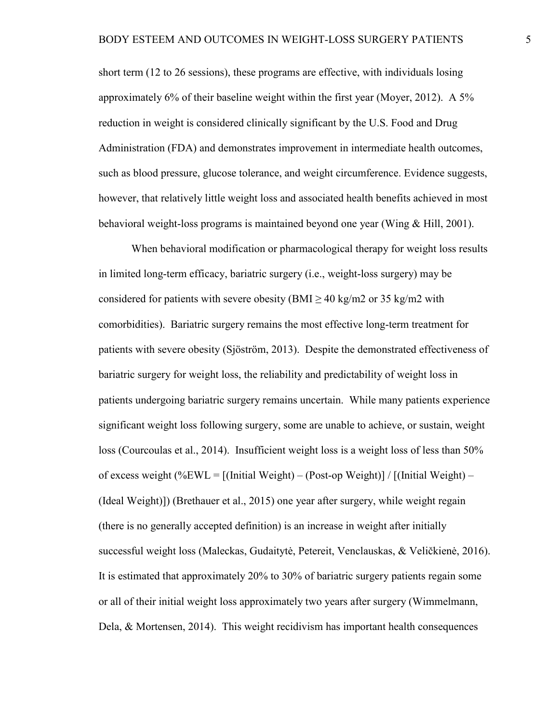short term (12 to 26 sessions), these programs are effective, with individuals losing approximately 6% of their baseline weight within the first year (Moyer, 2012). A 5% reduction in weight is considered clinically significant by the U.S. Food and Drug Administration (FDA) and demonstrates improvement in intermediate health outcomes, such as blood pressure, glucose tolerance, and weight circumference. Evidence suggests, however, that relatively little weight loss and associated health benefits achieved in most behavioral weight-loss programs is maintained beyond one year (Wing & Hill, 2001).

When behavioral modification or pharmacological therapy for weight loss results in limited long-term efficacy, bariatric surgery (i.e., weight-loss surgery) may be considered for patients with severe obesity (BMI  $\geq$  40 kg/m2 or 35 kg/m2 with comorbidities). Bariatric surgery remains the most effective long-term treatment for patients with severe obesity (Sjöström, 2013). Despite the demonstrated effectiveness of bariatric surgery for weight loss, the reliability and predictability of weight loss in patients undergoing bariatric surgery remains uncertain. While many patients experience significant weight loss following surgery, some are unable to achieve, or sustain, weight loss (Courcoulas et al., 2014). Insufficient weight loss is a weight loss of less than 50% of excess weight  $(\%EWL = [(Initial Weight) - (Post-op Weight)] / [(Initial Weight) -$ (Ideal Weight)]) (Brethauer et al., 2015) one year after surgery, while weight regain (there is no generally accepted definition) is an increase in weight after initially successful weight loss (Maleckas, Gudaitytė, Petereit, Venclauskas, & Veličkienė, 2016). It is estimated that approximately 20% to 30% of bariatric surgery patients regain some or all of their initial weight loss approximately two years after surgery (Wimmelmann, Dela, & Mortensen, 2014). This weight recidivism has important health consequences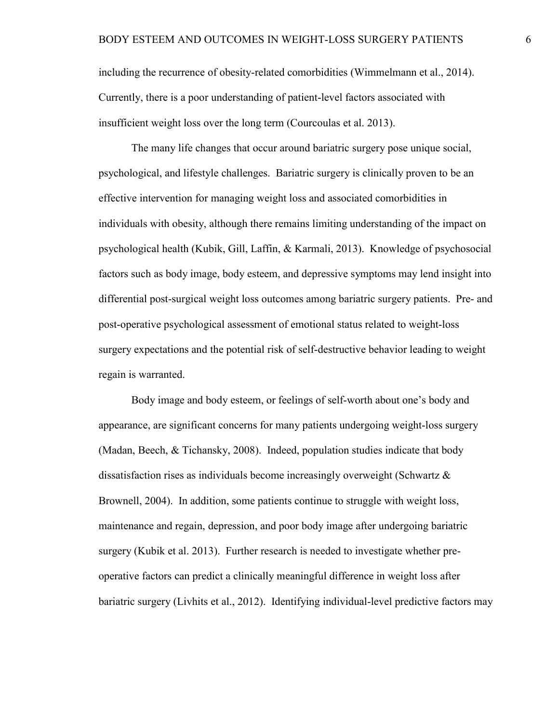including the recurrence of obesity-related comorbidities (Wimmelmann et al., 2014). Currently, there is a poor understanding of patient-level factors associated with insufficient weight loss over the long term (Courcoulas et al. 2013).

The many life changes that occur around bariatric surgery pose unique social, psychological, and lifestyle challenges. Bariatric surgery is clinically proven to be an effective intervention for managing weight loss and associated comorbidities in individuals with obesity, although there remains limiting understanding of the impact on psychological health (Kubik, Gill, Laffin, & Karmali, 2013). Knowledge of psychosocial factors such as body image, body esteem, and depressive symptoms may lend insight into differential post-surgical weight loss outcomes among bariatric surgery patients. Pre- and post-operative psychological assessment of emotional status related to weight-loss surgery expectations and the potential risk of self-destructive behavior leading to weight regain is warranted.

Body image and body esteem, or feelings of self-worth about one's body and appearance, are significant concerns for many patients undergoing weight-loss surgery (Madan, Beech, & Tichansky, 2008). Indeed, population studies indicate that body dissatisfaction rises as individuals become increasingly overweight (Schwartz  $\&$ Brownell, 2004). In addition, some patients continue to struggle with weight loss, maintenance and regain, depression, and poor body image after undergoing bariatric surgery (Kubik et al. 2013). Further research is needed to investigate whether preoperative factors can predict a clinically meaningful difference in weight loss after bariatric surgery (Livhits et al., 2012). Identifying individual-level predictive factors may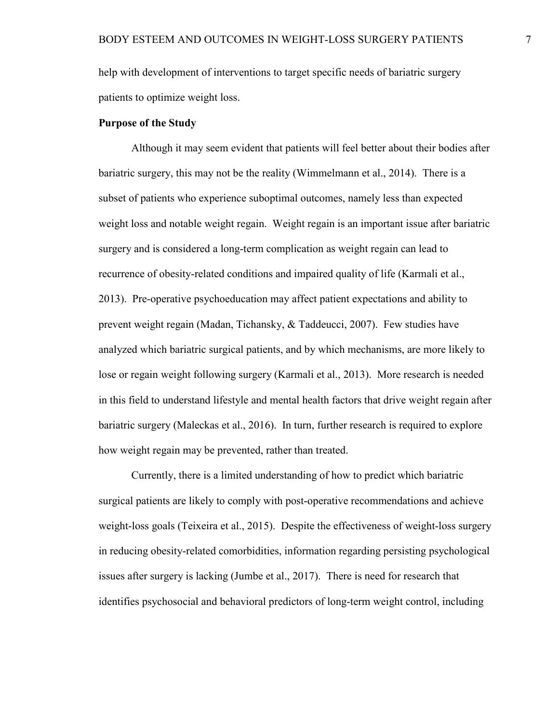help with development of interventions to target specific needs of bariatric surgery patients to optimize weight loss.

#### <span id="page-12-0"></span>**Purpose of the Study**

Although it may seem evident that patients will feel better about their bodies after bariatric surgery, this may not be the reality (Wimmelmann et al., 2014). There is a subset of patients who experience suboptimal outcomes, namely less than expected weight loss and notable weight regain. Weight regain is an important issue after bariatric surgery and is considered a long-term complication as weight regain can lead to recurrence of obesity-related conditions and impaired quality of life (Karmali et al., 2013). Pre-operative psychoeducation may affect patient expectations and ability to prevent weight regain (Madan, Tichansky, & Taddeucci, 2007). Few studies have analyzed which bariatric surgical patients, and by which mechanisms, are more likely to lose or regain weight following surgery (Karmali et al., 2013). More research is needed in this field to understand lifestyle and mental health factors that drive weight regain after bariatric surgery (Maleckas et al., 2016). In turn, further research is required to explore how weight regain may be prevented, rather than treated.

Currently, there is a limited understanding of how to predict which bariatric surgical patients are likely to comply with post-operative recommendations and achieve weight-loss goals (Teixeira et al., 2015). Despite the effectiveness of weight-loss surgery in reducing obesity-related comorbidities, information regarding persisting psychological issues after surgery is lacking (Jumbe et al., 2017). There is need for research that identifies psychosocial and behavioral predictors of long-term weight control, including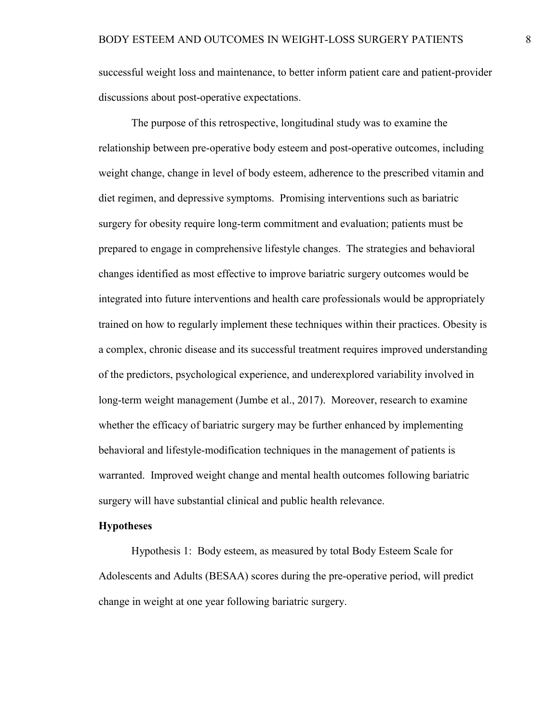successful weight loss and maintenance, to better inform patient care and patient-provider discussions about post-operative expectations.

The purpose of this retrospective, longitudinal study was to examine the relationship between pre-operative body esteem and post-operative outcomes, including weight change, change in level of body esteem, adherence to the prescribed vitamin and diet regimen, and depressive symptoms. Promising interventions such as bariatric surgery for obesity require long-term commitment and evaluation; patients must be prepared to engage in comprehensive lifestyle changes. The strategies and behavioral changes identified as most effective to improve bariatric surgery outcomes would be integrated into future interventions and health care professionals would be appropriately trained on how to regularly implement these techniques within their practices. Obesity is a complex, chronic disease and its successful treatment requires improved understanding of the predictors, psychological experience, and underexplored variability involved in long-term weight management (Jumbe et al., 2017). Moreover, research to examine whether the efficacy of bariatric surgery may be further enhanced by implementing behavioral and lifestyle-modification techniques in the management of patients is warranted. Improved weight change and mental health outcomes following bariatric surgery will have substantial clinical and public health relevance.

#### <span id="page-13-0"></span>**Hypotheses**

Hypothesis 1: Body esteem, as measured by total Body Esteem Scale for Adolescents and Adults (BESAA) scores during the pre-operative period, will predict change in weight at one year following bariatric surgery.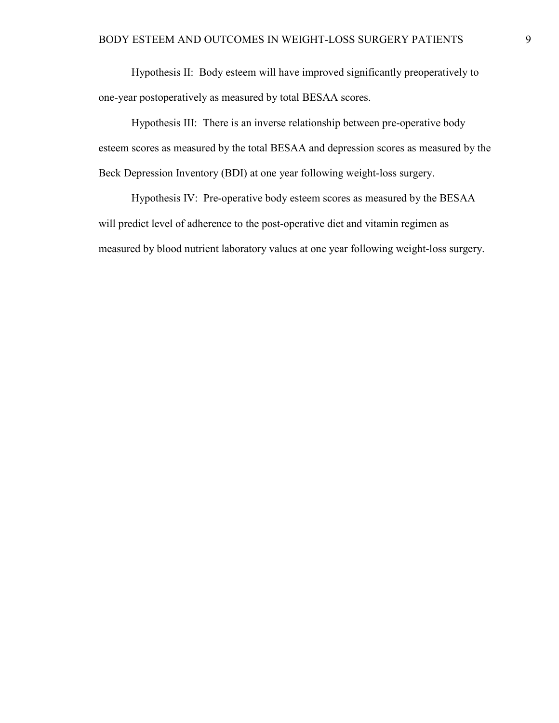Hypothesis II: Body esteem will have improved significantly preoperatively to one-year postoperatively as measured by total BESAA scores.

Hypothesis III: There is an inverse relationship between pre-operative body esteem scores as measured by the total BESAA and depression scores as measured by the Beck Depression Inventory (BDI) at one year following weight-loss surgery.

Hypothesis IV: Pre-operative body esteem scores as measured by the BESAA will predict level of adherence to the post-operative diet and vitamin regimen as measured by blood nutrient laboratory values at one year following weight-loss surgery.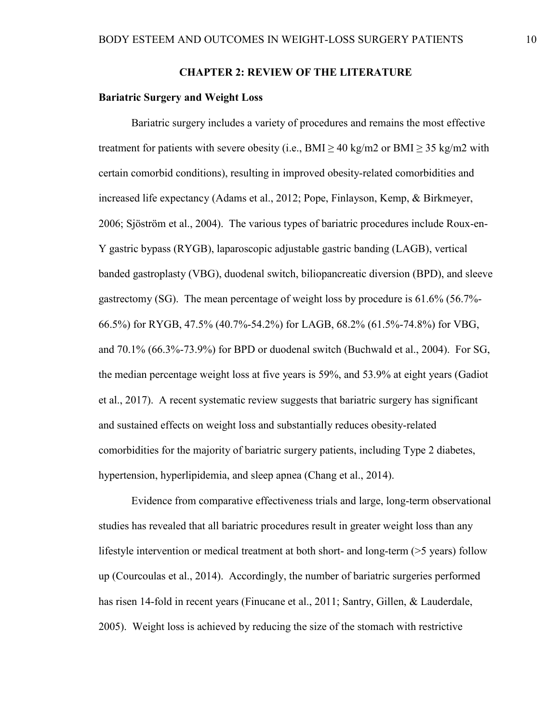#### **CHAPTER 2: REVIEW OF THE LITERATURE**

#### <span id="page-15-1"></span><span id="page-15-0"></span>**Bariatric Surgery and Weight Loss**

Bariatric surgery includes a variety of procedures and remains the most effective treatment for patients with severe obesity (i.e.,  $BMI > 40 \text{ kg/m2 or } BMI > 35 \text{ kg/m2 with}$ certain comorbid conditions), resulting in improved obesity-related comorbidities and increased life expectancy (Adams et al., 2012; Pope, Finlayson, Kemp, & Birkmeyer, 2006; Sjöström et al., 2004). The various types of bariatric procedures include Roux-en-Y gastric bypass (RYGB), laparoscopic adjustable gastric banding (LAGB), vertical banded gastroplasty (VBG), duodenal switch, biliopancreatic diversion (BPD), and sleeve gastrectomy (SG). The mean percentage of weight loss by procedure is 61.6% (56.7%- 66.5%) for RYGB, 47.5% (40.7%-54.2%) for LAGB, 68.2% (61.5%-74.8%) for VBG, and  $70.1\%$  (66.3%-73.9%) for BPD or duodenal switch (Buchwald et al., 2004). For SG, the median percentage weight loss at five years is 59%, and 53.9% at eight years (Gadiot et al., 2017). A recent systematic review suggests that bariatric surgery has significant and sustained effects on weight loss and substantially reduces obesity-related comorbidities for the majority of bariatric surgery patients, including Type 2 diabetes, hypertension, hyperlipidemia, and sleep apnea (Chang et al., 2014).

Evidence from comparative effectiveness trials and large, long-term observational studies has revealed that all bariatric procedures result in greater weight loss than any lifestyle intervention or medical treatment at both short- and long-term (>5 years) follow up (Courcoulas et al., 2014). Accordingly, the number of bariatric surgeries performed has risen 14-fold in recent years (Finucane et al., 2011; Santry, Gillen, & Lauderdale, 2005). Weight loss is achieved by reducing the size of the stomach with restrictive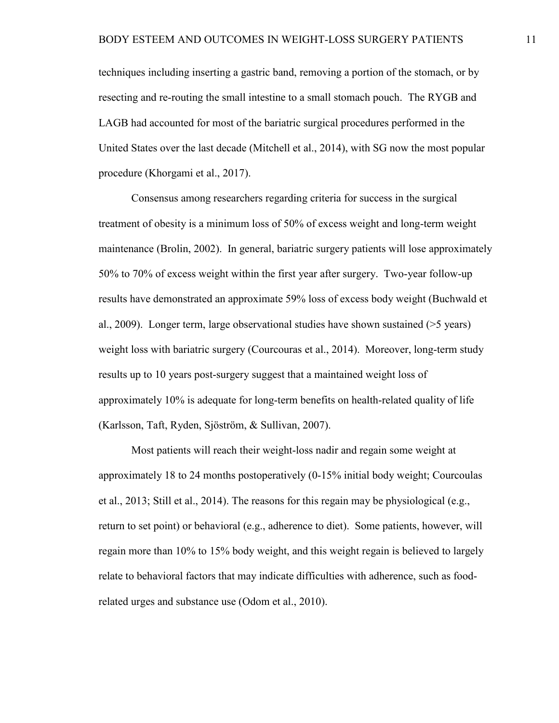techniques including inserting a gastric band, removing a portion of the stomach, or by resecting and re-routing the small intestine to a small stomach pouch. The RYGB and LAGB had accounted for most of the bariatric surgical procedures performed in the United States over the last decade (Mitchell et al., 2014), with SG now the most popular procedure (Khorgami et al., 2017).

Consensus among researchers regarding criteria for success in the surgical treatment of obesity is a minimum loss of 50% of excess weight and long-term weight maintenance (Brolin, 2002). In general, bariatric surgery patients will lose approximately 50% to 70% of excess weight within the first year after surgery. Two-year follow-up results have demonstrated an approximate 59% loss of excess body weight (Buchwald et al., 2009). Longer term, large observational studies have shown sustained (>5 years) weight loss with bariatric surgery (Courcouras et al., 2014). Moreover, long-term study results up to 10 years post-surgery suggest that a maintained weight loss of approximately 10% is adequate for long-term benefits on health-related quality of life (Karlsson, Taft, Ryden, Sjöström, & Sullivan, 2007).

Most patients will reach their weight-loss nadir and regain some weight at approximately 18 to 24 months postoperatively (0-15% initial body weight; Courcoulas et al., 2013; Still et al., 2014). The reasons for this regain may be physiological (e.g., return to set point) or behavioral (e.g., adherence to diet). Some patients, however, will regain more than 10% to 15% body weight, and this weight regain is believed to largely relate to behavioral factors that may indicate difficulties with adherence, such as foodrelated urges and substance use (Odom et al., 2010).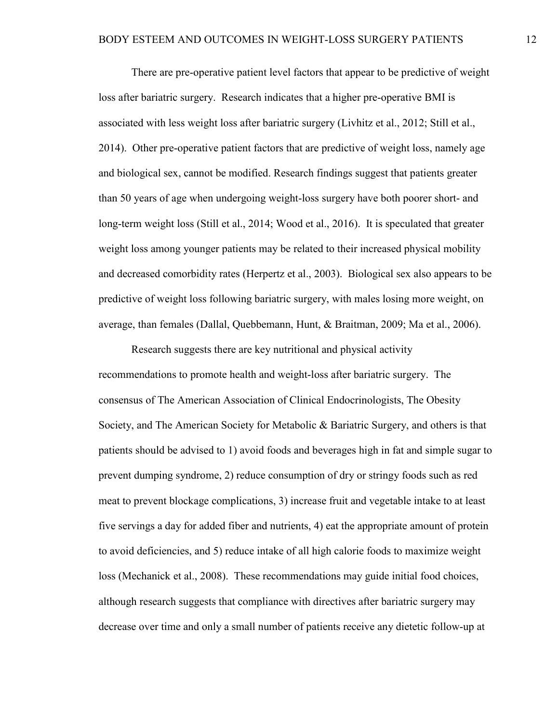There are pre-operative patient level factors that appear to be predictive of weight loss after bariatric surgery. Research indicates that a higher pre-operative BMI is associated with less weight loss after bariatric surgery (Livhitz et al., 2012; Still et al., 2014). Other pre-operative patient factors that are predictive of weight loss, namely age and biological sex, cannot be modified. Research findings suggest that patients greater than 50 years of age when undergoing weight-loss surgery have both poorer short- and long-term weight loss (Still et al., 2014; Wood et al., 2016). It is speculated that greater weight loss among younger patients may be related to their increased physical mobility and decreased comorbidity rates (Herpertz et al., 2003). Biological sex also appears to be predictive of weight loss following bariatric surgery, with males losing more weight, on average, than females (Dallal, Quebbemann, Hunt, & Braitman, 2009; Ma et al., 2006).

Research suggests there are key nutritional and physical activity recommendations to promote health and weight-loss after bariatric surgery. The consensus of The American Association of Clinical Endocrinologists, The Obesity Society, and The American Society for Metabolic & Bariatric Surgery, and others is that patients should be advised to 1) avoid foods and beverages high in fat and simple sugar to prevent dumping syndrome, 2) reduce consumption of dry or stringy foods such as red meat to prevent blockage complications, 3) increase fruit and vegetable intake to at least five servings a day for added fiber and nutrients, 4) eat the appropriate amount of protein to avoid deficiencies, and 5) reduce intake of all high calorie foods to maximize weight loss (Mechanick et al., 2008). These recommendations may guide initial food choices, although research suggests that compliance with directives after bariatric surgery may decrease over time and only a small number of patients receive any dietetic follow-up at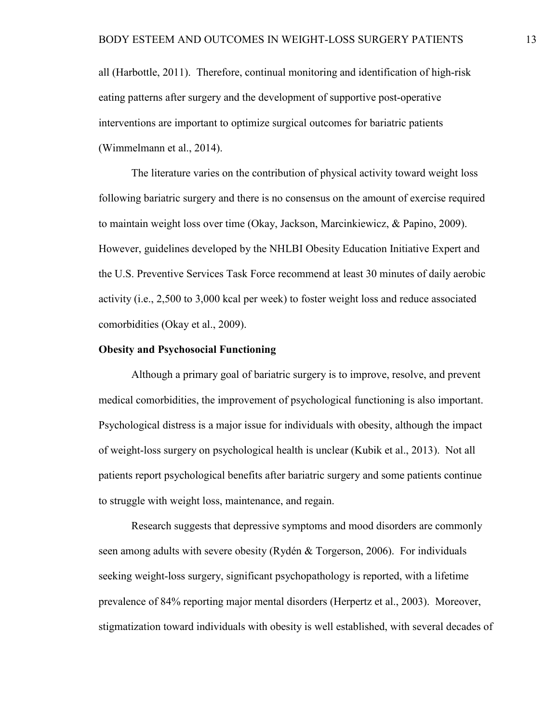all (Harbottle, 2011). Therefore, continual monitoring and identification of high-risk eating patterns after surgery and the development of supportive post-operative interventions are important to optimize surgical outcomes for bariatric patients (Wimmelmann et al., 2014).

The literature varies on the contribution of physical activity toward weight loss following bariatric surgery and there is no consensus on the amount of exercise required to maintain weight loss over time (Okay, Jackson, Marcinkiewicz, & Papino, 2009). However, guidelines developed by the NHLBI Obesity Education Initiative Expert and the U.S. Preventive Services Task Force recommend at least 30 minutes of daily aerobic activity (i.e., 2,500 to 3,000 kcal per week) to foster weight loss and reduce associated comorbidities (Okay et al., 2009).

#### <span id="page-18-0"></span>**Obesity and Psychosocial Functioning**

Although a primary goal of bariatric surgery is to improve, resolve, and prevent medical comorbidities, the improvement of psychological functioning is also important. Psychological distress is a major issue for individuals with obesity, although the impact of weight-loss surgery on psychological health is unclear (Kubik et al., 2013). Not all patients report psychological benefits after bariatric surgery and some patients continue to struggle with weight loss, maintenance, and regain.

Research suggests that depressive symptoms and mood disorders are commonly seen among adults with severe obesity (Rydén & Torgerson, 2006). For individuals seeking weight-loss surgery, significant psychopathology is reported, with a lifetime prevalence of 84% reporting major mental disorders (Herpertz et al., 2003). Moreover, stigmatization toward individuals with obesity is well established, with several decades of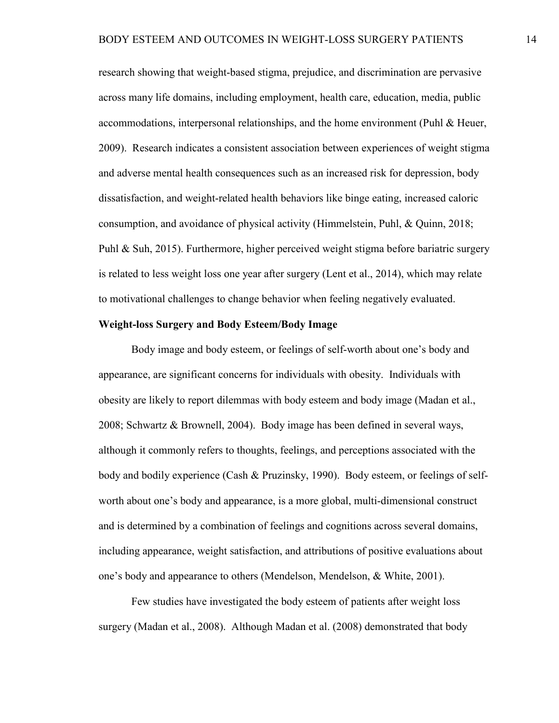research showing that weight-based stigma, prejudice, and discrimination are pervasive across many life domains, including employment, health care, education, media, public accommodations, interpersonal relationships, and the home environment (Puhl & Heuer, 2009). Research indicates a consistent association between experiences of weight stigma and adverse mental health consequences such as an increased risk for depression, body dissatisfaction, and weight-related health behaviors like binge eating, increased caloric consumption, and avoidance of physical activity (Himmelstein, Puhl, & Quinn, 2018; Puhl & Suh, 2015). Furthermore, higher perceived weight stigma before bariatric surgery is related to less weight loss one year after surgery (Lent et al., 2014), which may relate to motivational challenges to change behavior when feeling negatively evaluated.

#### <span id="page-19-0"></span>**Weight-loss Surgery and Body Esteem/Body Image**

Body image and body esteem, or feelings of self-worth about one's body and appearance, are significant concerns for individuals with obesity. Individuals with obesity are likely to report dilemmas with body esteem and body image (Madan et al., 2008; Schwartz & Brownell, 2004). Body image has been defined in several ways, although it commonly refers to thoughts, feelings, and perceptions associated with the body and bodily experience (Cash & Pruzinsky, 1990). Body esteem, or feelings of selfworth about one's body and appearance, is a more global, multi-dimensional construct and is determined by a combination of feelings and cognitions across several domains, including appearance, weight satisfaction, and attributions of positive evaluations about one's body and appearance to others (Mendelson, Mendelson, & White, 2001).

Few studies have investigated the body esteem of patients after weight loss surgery (Madan et al., 2008). Although Madan et al. (2008) demonstrated that body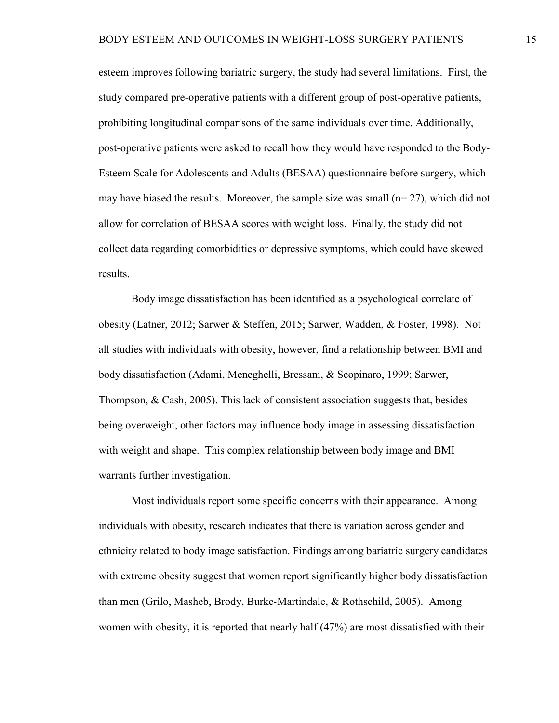esteem improves following bariatric surgery, the study had several limitations. First, the study compared pre-operative patients with a different group of post-operative patients, prohibiting longitudinal comparisons of the same individuals over time. Additionally, post-operative patients were asked to recall how they would have responded to the Body-Esteem Scale for Adolescents and Adults (BESAA) questionnaire before surgery, which may have biased the results. Moreover, the sample size was small  $(n=27)$ , which did not allow for correlation of BESAA scores with weight loss. Finally, the study did not collect data regarding comorbidities or depressive symptoms, which could have skewed results.

Body image dissatisfaction has been identified as a psychological correlate of obesity (Latner, 2012; Sarwer & Steffen, 2015; Sarwer, Wadden, & Foster, 1998). Not all studies with individuals with obesity, however, find a relationship between BMI and body dissatisfaction (Adami, Meneghelli, Bressani, & Scopinaro, 1999; Sarwer, Thompson, & Cash, 2005). This lack of consistent association suggests that, besides being overweight, other factors may influence body image in assessing dissatisfaction with weight and shape. This complex relationship between body image and BMI warrants further investigation.

Most individuals report some specific concerns with their appearance. Among individuals with obesity, research indicates that there is variation across gender and ethnicity related to body image satisfaction. Findings among bariatric surgery candidates with extreme obesity suggest that women report significantly higher body dissatisfaction than men (Grilo, Masheb, Brody, Burke‐Martindale, & Rothschild, 2005). Among women with obesity, it is reported that nearly half (47%) are most dissatisfied with their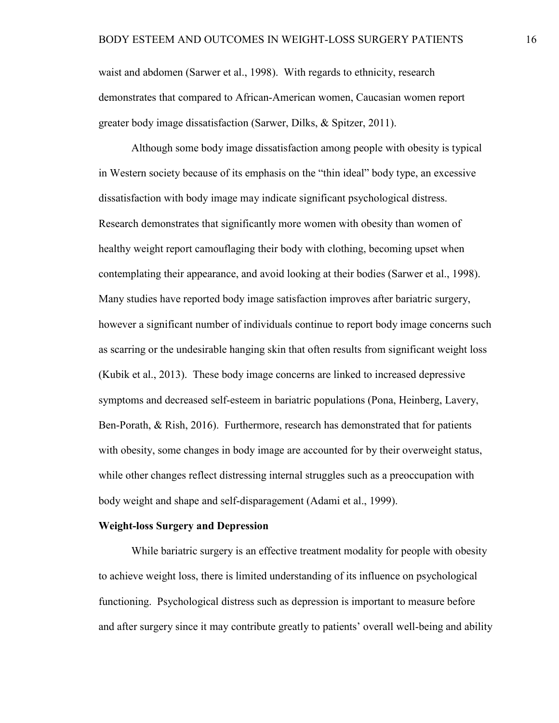waist and abdomen (Sarwer et al., 1998). With regards to ethnicity, research demonstrates that compared to African-American women, Caucasian women report greater body image dissatisfaction (Sarwer, Dilks, & Spitzer, 2011).

Although some body image dissatisfaction among people with obesity is typical in Western society because of its emphasis on the "thin ideal" body type, an excessive dissatisfaction with body image may indicate significant psychological distress. Research demonstrates that significantly more women with obesity than women of healthy weight report camouflaging their body with clothing, becoming upset when contemplating their appearance, and avoid looking at their bodies (Sarwer et al., 1998). Many studies have reported body image satisfaction improves after bariatric surgery, however a significant number of individuals continue to report body image concerns such as scarring or the undesirable hanging skin that often results from significant weight loss (Kubik et al., 2013). These body image concerns are linked to increased depressive symptoms and decreased self-esteem in bariatric populations (Pona, Heinberg, Lavery, Ben-Porath, & Rish, 2016). Furthermore, research has demonstrated that for patients with obesity, some changes in body image are accounted for by their overweight status, while other changes reflect distressing internal struggles such as a preoccupation with body weight and shape and self-disparagement (Adami et al., 1999).

#### <span id="page-21-0"></span>**Weight-loss Surgery and Depression**

While bariatric surgery is an effective treatment modality for people with obesity to achieve weight loss, there is limited understanding of its influence on psychological functioning. Psychological distress such as depression is important to measure before and after surgery since it may contribute greatly to patients' overall well-being and ability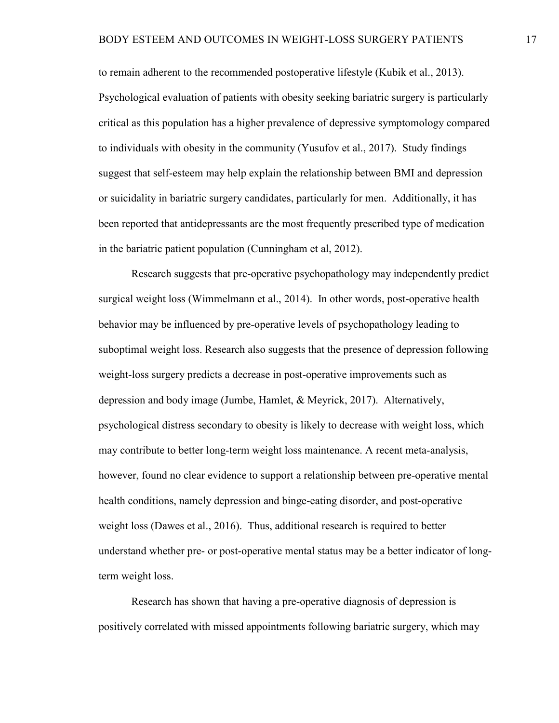to remain adherent to the recommended postoperative lifestyle (Kubik et al., 2013). Psychological evaluation of patients with obesity seeking bariatric surgery is particularly critical as this population has a higher prevalence of depressive symptomology compared to individuals with obesity in the community (Yusufov et al., 2017). Study findings suggest that self-esteem may help explain the relationship between BMI and depression or suicidality in bariatric surgery candidates, particularly for men. Additionally, it has been reported that antidepressants are the most frequently prescribed type of medication in the bariatric patient population (Cunningham et al, 2012).

Research suggests that pre-operative psychopathology may independently predict surgical weight loss (Wimmelmann et al., 2014). In other words, post-operative health behavior may be influenced by pre-operative levels of psychopathology leading to suboptimal weight loss. Research also suggests that the presence of depression following weight-loss surgery predicts a decrease in post-operative improvements such as depression and body image (Jumbe, Hamlet, & Meyrick, 2017). Alternatively, psychological distress secondary to obesity is likely to decrease with weight loss, which may contribute to better long-term weight loss maintenance. A recent meta-analysis, however, found no clear evidence to support a relationship between pre-operative mental health conditions, namely depression and binge-eating disorder, and post-operative weight loss (Dawes et al., 2016). Thus, additional research is required to better understand whether pre- or post-operative mental status may be a better indicator of longterm weight loss.

Research has shown that having a pre-operative diagnosis of depression is positively correlated with missed appointments following bariatric surgery, which may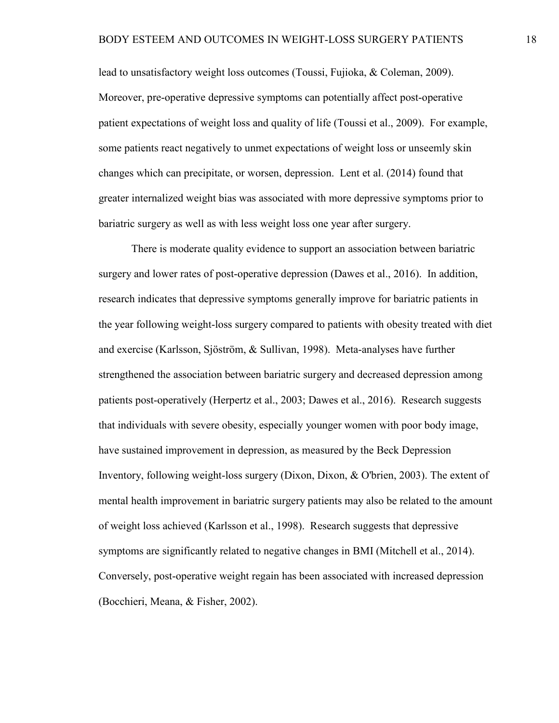lead to unsatisfactory weight loss outcomes (Toussi, Fujioka, & Coleman, 2009). Moreover, pre-operative depressive symptoms can potentially affect post-operative patient expectations of weight loss and quality of life (Toussi et al., 2009). For example, some patients react negatively to unmet expectations of weight loss or unseemly skin changes which can precipitate, or worsen, depression. Lent et al. (2014) found that greater internalized weight bias was associated with more depressive symptoms prior to bariatric surgery as well as with less weight loss one year after surgery.

There is moderate quality evidence to support an association between bariatric surgery and lower rates of post-operative depression (Dawes et al., 2016). In addition, research indicates that depressive symptoms generally improve for bariatric patients in the year following weight-loss surgery compared to patients with obesity treated with diet and exercise (Karlsson, Sjöström, & Sullivan, 1998). Meta-analyses have further strengthened the association between bariatric surgery and decreased depression among patients post-operatively (Herpertz et al., 2003; Dawes et al., 2016). Research suggests that individuals with severe obesity, especially younger women with poor body image, have sustained improvement in depression, as measured by the Beck Depression Inventory, following weight-loss surgery (Dixon, Dixon, & O'brien, 2003). The extent of mental health improvement in bariatric surgery patients may also be related to the amount of weight loss achieved (Karlsson et al., 1998). Research suggests that depressive symptoms are significantly related to negative changes in BMI (Mitchell et al., 2014). Conversely, post-operative weight regain has been associated with increased depression (Bocchieri, Meana, & Fisher, 2002).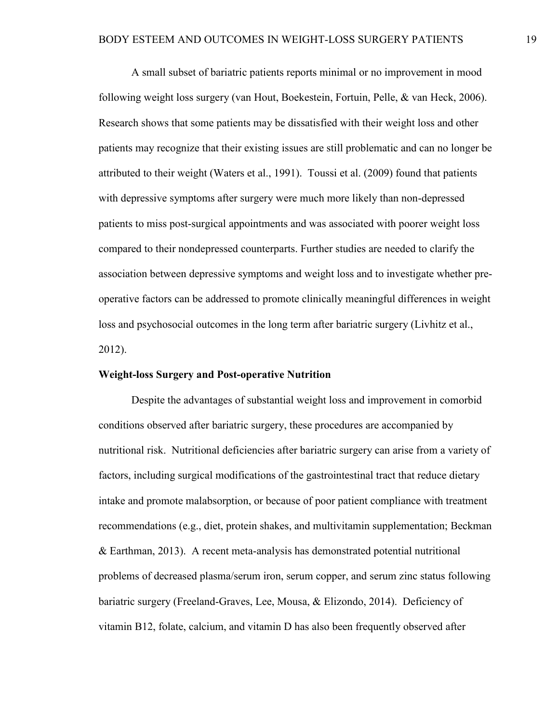A small subset of bariatric patients reports minimal or no improvement in mood following weight loss surgery (van Hout, Boekestein, Fortuin, Pelle, & van Heck, 2006). Research shows that some patients may be dissatisfied with their weight loss and other patients may recognize that their existing issues are still problematic and can no longer be attributed to their weight (Waters et al., 1991). Toussi et al. (2009) found that patients with depressive symptoms after surgery were much more likely than non-depressed patients to miss post-surgical appointments and was associated with poorer weight loss compared to their nondepressed counterparts. Further studies are needed to clarify the association between depressive symptoms and weight loss and to investigate whether preoperative factors can be addressed to promote clinically meaningful differences in weight loss and psychosocial outcomes in the long term after bariatric surgery (Livhitz et al., 2012).

#### <span id="page-24-0"></span>**Weight-loss Surgery and Post-operative Nutrition**

Despite the advantages of substantial weight loss and improvement in comorbid conditions observed after bariatric surgery, these procedures are accompanied by nutritional risk. Nutritional deficiencies after bariatric surgery can arise from a variety of factors, including surgical modifications of the gastrointestinal tract that reduce dietary intake and promote malabsorption, or because of poor patient compliance with treatment recommendations (e.g., diet, protein shakes, and multivitamin supplementation; Beckman & Earthman, 2013). A recent meta-analysis has demonstrated potential nutritional problems of decreased plasma/serum iron, serum copper, and serum zinc status following bariatric surgery (Freeland-Graves, Lee, Mousa, & Elizondo, 2014). Deficiency of vitamin B12, folate, calcium, and vitamin D has also been frequently observed after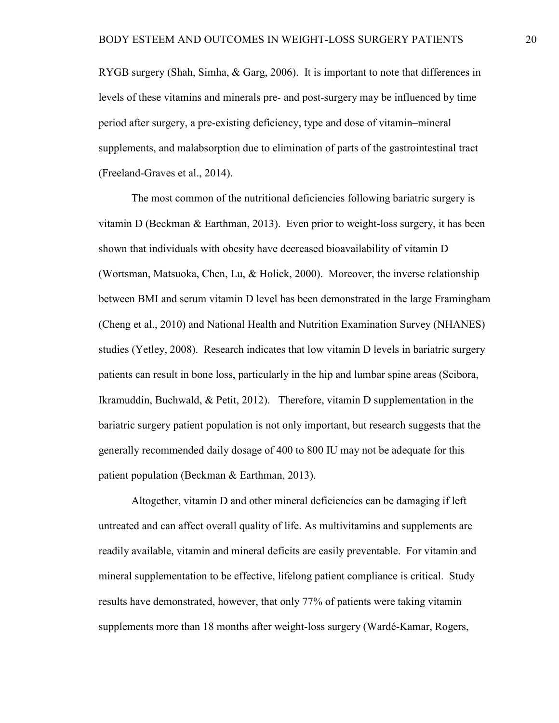RYGB surgery (Shah, Simha, & Garg, 2006). It is important to note that differences in levels of these vitamins and minerals pre- and post-surgery may be influenced by time period after surgery, a pre-existing deficiency, type and dose of vitamin–mineral supplements, and malabsorption due to elimination of parts of the gastrointestinal tract (Freeland-Graves et al., 2014).

The most common of the nutritional deficiencies following bariatric surgery is vitamin D (Beckman & Earthman, 2013). Even prior to weight-loss surgery, it has been shown that individuals with obesity have decreased bioavailability of vitamin D (Wortsman, Matsuoka, Chen, Lu, & Holick, 2000). Moreover, the inverse relationship between BMI and serum vitamin D level has been demonstrated in the large Framingham (Cheng et al., 2010) and National Health and Nutrition Examination Survey (NHANES) studies (Yetley, 2008). Research indicates that low vitamin D levels in bariatric surgery patients can result in bone loss, particularly in the hip and lumbar spine areas (Scibora, Ikramuddin, Buchwald, & Petit, 2012). Therefore, vitamin D supplementation in the bariatric surgery patient population is not only important, but research suggests that the generally recommended daily dosage of 400 to 800 IU may not be adequate for this patient population (Beckman & Earthman, 2013).

Altogether, vitamin D and other mineral deficiencies can be damaging if left untreated and can affect overall quality of life. As multivitamins and supplements are readily available, vitamin and mineral deficits are easily preventable. For vitamin and mineral supplementation to be effective, lifelong patient compliance is critical. Study results have demonstrated, however, that only 77% of patients were taking vitamin supplements more than 18 months after weight-loss surgery (Wardé-Kamar, Rogers,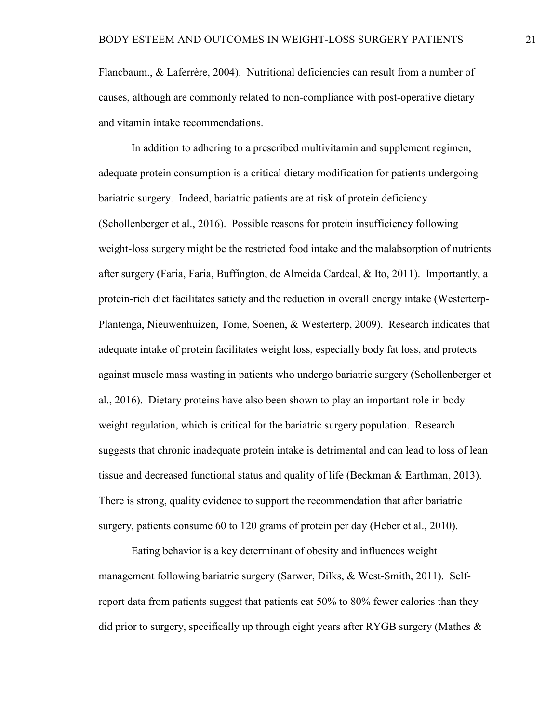Flancbaum., & Laferrère, 2004). Nutritional deficiencies can result from a number of causes, although are commonly related to non-compliance with post-operative dietary and vitamin intake recommendations.

In addition to adhering to a prescribed multivitamin and supplement regimen, adequate protein consumption is a critical dietary modification for patients undergoing bariatric surgery. Indeed, bariatric patients are at risk of protein deficiency (Schollenberger et al., 2016). Possible reasons for protein insufficiency following weight-loss surgery might be the restricted food intake and the malabsorption of nutrients after surgery (Faria, Faria, Buffington, de Almeida Cardeal, & Ito, 2011). Importantly, a protein-rich diet facilitates satiety and the reduction in overall energy intake (Westerterp-Plantenga, Nieuwenhuizen, Tome, Soenen, & Westerterp, 2009). Research indicates that adequate intake of protein facilitates weight loss, especially body fat loss, and protects against muscle mass wasting in patients who undergo bariatric surgery (Schollenberger et al., 2016). Dietary proteins have also been shown to play an important role in body weight regulation, which is critical for the bariatric surgery population. Research suggests that chronic inadequate protein intake is detrimental and can lead to loss of lean tissue and decreased functional status and quality of life (Beckman & Earthman, 2013). There is strong, quality evidence to support the recommendation that after bariatric surgery, patients consume 60 to 120 grams of protein per day (Heber et al., 2010).

Eating behavior is a key determinant of obesity and influences weight management following bariatric surgery (Sarwer, Dilks, & West-Smith, 2011). Selfreport data from patients suggest that patients eat 50% to 80% fewer calories than they did prior to surgery, specifically up through eight years after RYGB surgery (Mathes &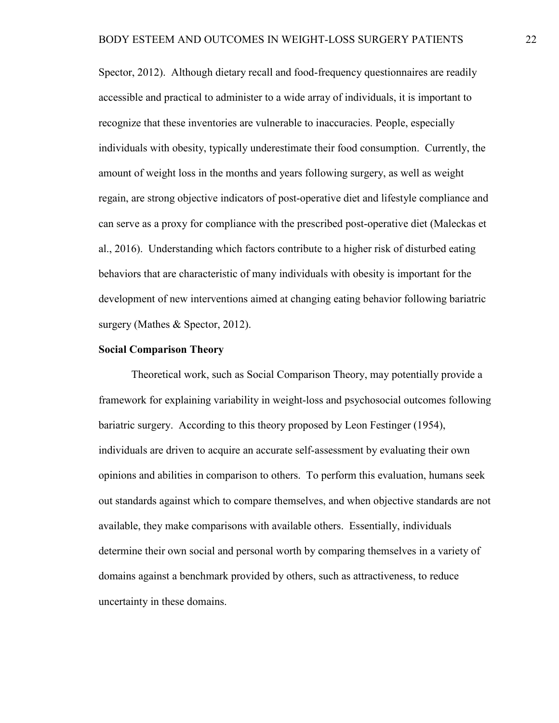Spector, 2012). Although dietary recall and food-frequency questionnaires are readily accessible and practical to administer to a wide array of individuals, it is important to recognize that these inventories are vulnerable to inaccuracies. People, especially individuals with obesity, typically underestimate their food consumption. Currently, the amount of weight loss in the months and years following surgery, as well as weight regain, are strong objective indicators of post-operative diet and lifestyle compliance and can serve as a proxy for compliance with the prescribed post-operative diet (Maleckas et al., 2016). Understanding which factors contribute to a higher risk of disturbed eating behaviors that are characteristic of many individuals with obesity is important for the development of new interventions aimed at changing eating behavior following bariatric surgery (Mathes & Spector, 2012).

#### <span id="page-27-0"></span>**Social Comparison Theory**

Theoretical work, such as Social Comparison Theory, may potentially provide a framework for explaining variability in weight-loss and psychosocial outcomes following bariatric surgery. According to this theory proposed by Leon Festinger (1954), individuals are driven to acquire an accurate self-assessment by evaluating their own opinions and abilities in comparison to others. To perform this evaluation, humans seek out standards against which to compare themselves, and when objective standards are not available, they make comparisons with available others. Essentially, individuals determine their own social and personal worth by comparing themselves in a variety of domains against a benchmark provided by others, such as attractiveness, to reduce uncertainty in these domains.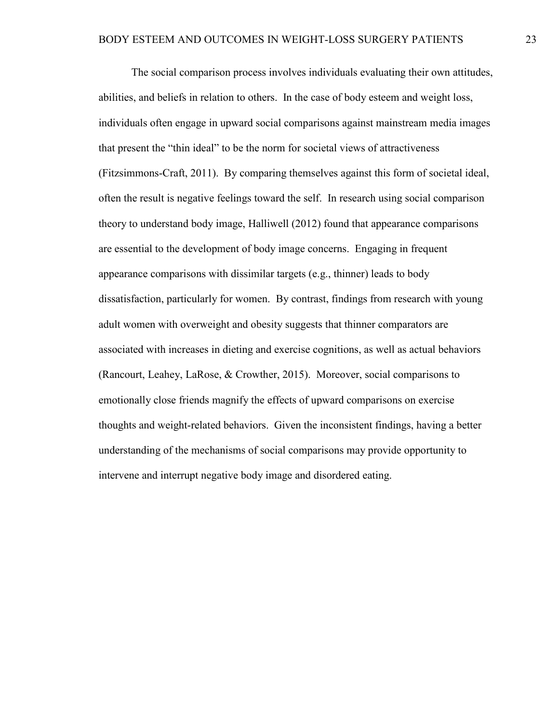The social comparison process involves individuals evaluating their own attitudes, abilities, and beliefs in relation to others. In the case of body esteem and weight loss, individuals often engage in upward social comparisons against mainstream media images that present the "thin ideal" to be the norm for societal views of attractiveness (Fitzsimmons-Craft, 2011). By comparing themselves against this form of societal ideal, often the result is negative feelings toward the self. In research using social comparison theory to understand body image, Halliwell (2012) found that appearance comparisons are essential to the development of body image concerns. Engaging in frequent appearance comparisons with dissimilar targets (e.g., thinner) leads to body dissatisfaction, particularly for women. By contrast, findings from research with young adult women with overweight and obesity suggests that thinner comparators are associated with increases in dieting and exercise cognitions, as well as actual behaviors (Rancourt, Leahey, LaRose, & Crowther, 2015). Moreover, social comparisons to emotionally close friends magnify the effects of upward comparisons on exercise thoughts and weight-related behaviors. Given the inconsistent findings, having a better understanding of the mechanisms of social comparisons may provide opportunity to intervene and interrupt negative body image and disordered eating.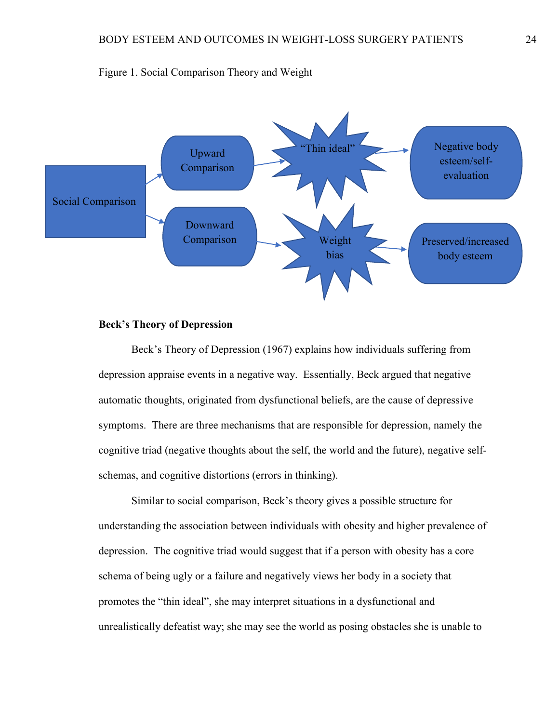

#### Figure 1. Social Comparison Theory and Weight

#### <span id="page-29-0"></span>**Beck's Theory of Depression**

Beck's Theory of Depression (1967) explains how individuals suffering from depression appraise events in a negative way. Essentially, Beck argued that negative automatic thoughts, originated from dysfunctional beliefs, are the cause of depressive symptoms. There are three mechanisms that are responsible for depression, namely the cognitive triad (negative thoughts about the self, the world and the future), negative selfschemas, and cognitive distortions (errors in thinking).

Similar to social comparison, Beck's theory gives a possible structure for understanding the association between individuals with obesity and higher prevalence of depression. The cognitive triad would suggest that if a person with obesity has a core schema of being ugly or a failure and negatively views her body in a society that promotes the "thin ideal", she may interpret situations in a dysfunctional and unrealistically defeatist way; she may see the world as posing obstacles she is unable to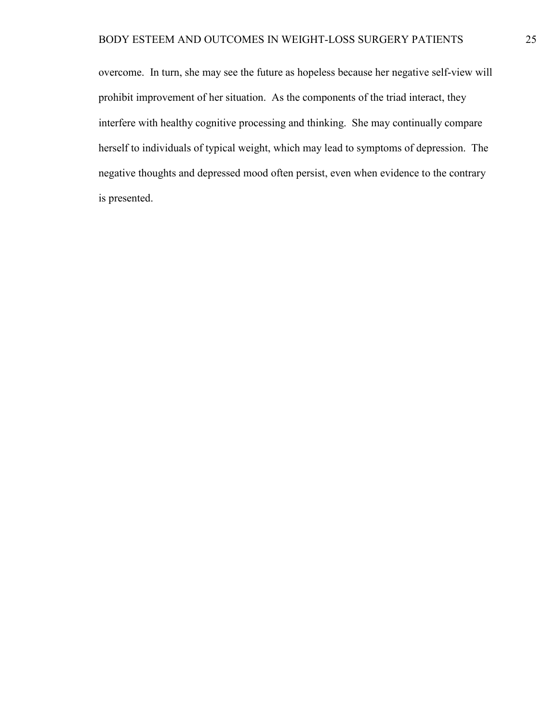#### BODY ESTEEM AND OUTCOMES IN WEIGHT-LOSS SURGERY PATIENTS 25

overcome. In turn, she may see the future as hopeless because her negative self-view will prohibit improvement of her situation. As the components of the triad interact, they interfere with healthy cognitive processing and thinking. She may continually compare herself to individuals of typical weight, which may lead to symptoms of depression. The negative thoughts and depressed mood often persist, even when evidence to the contrary is presented.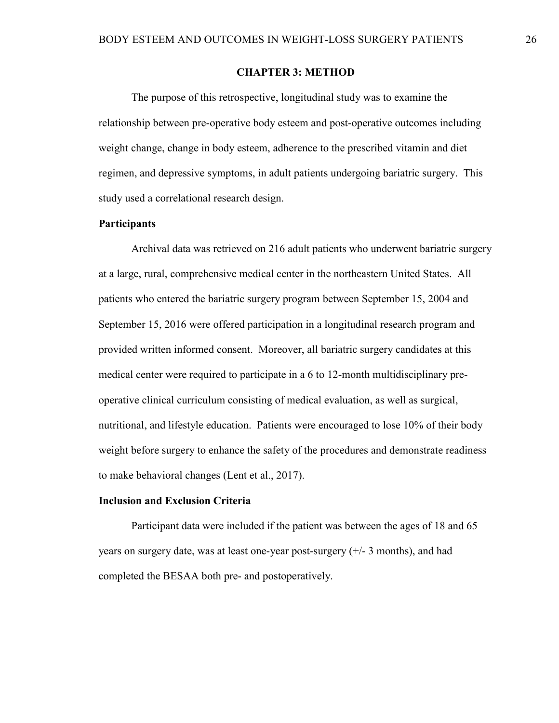#### **CHAPTER 3: METHOD**

<span id="page-31-0"></span>The purpose of this retrospective, longitudinal study was to examine the relationship between pre-operative body esteem and post-operative outcomes including weight change, change in body esteem, adherence to the prescribed vitamin and diet regimen, and depressive symptoms, in adult patients undergoing bariatric surgery. This study used a correlational research design.

#### <span id="page-31-1"></span>**Participants**

Archival data was retrieved on 216 adult patients who underwent bariatric surgery at a large, rural, comprehensive medical center in the northeastern United States. All patients who entered the bariatric surgery program between September 15, 2004 and September 15, 2016 were offered participation in a longitudinal research program and provided written informed consent. Moreover, all bariatric surgery candidates at this medical center were required to participate in a 6 to 12-month multidisciplinary preoperative clinical curriculum consisting of medical evaluation, as well as surgical, nutritional, and lifestyle education. Patients were encouraged to lose 10% of their body weight before surgery to enhance the safety of the procedures and demonstrate readiness to make behavioral changes (Lent et al., 2017).

#### <span id="page-31-2"></span>**Inclusion and Exclusion Criteria**

Participant data were included if the patient was between the ages of 18 and 65 years on surgery date, was at least one-year post-surgery (+/- 3 months), and had completed the BESAA both pre- and postoperatively.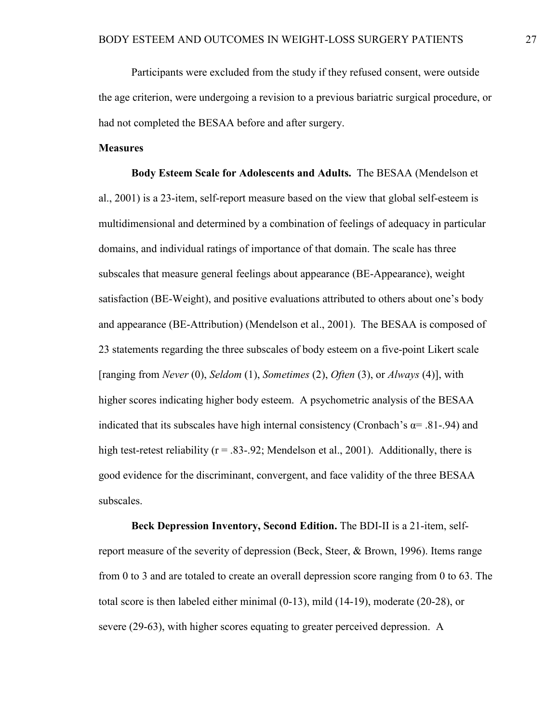Participants were excluded from the study if they refused consent, were outside the age criterion, were undergoing a revision to a previous bariatric surgical procedure, or had not completed the BESAA before and after surgery.

#### <span id="page-32-0"></span>**Measures**

**Body Esteem Scale for Adolescents and Adults.** The BESAA (Mendelson et al., 2001) is a 23-item, self-report measure based on the view that global self-esteem is multidimensional and determined by a combination of feelings of adequacy in particular domains, and individual ratings of importance of that domain. The scale has three subscales that measure general feelings about appearance (BE-Appearance), weight satisfaction (BE-Weight), and positive evaluations attributed to others about one's body and appearance (BE-Attribution) (Mendelson et al., 2001). The BESAA is composed of 23 statements regarding the three subscales of body esteem on a five-point Likert scale [ranging from *Never* (0), *Seldom* (1), *Sometimes* (2), *Often* (3), or *Always* (4)], with higher scores indicating higher body esteem. A psychometric analysis of the BESAA indicated that its subscales have high internal consistency (Cronbach's  $\alpha$ = .81-.94) and high test-retest reliability ( $r = .83-.92$ ; Mendelson et al., 2001). Additionally, there is good evidence for the discriminant, convergent, and face validity of the three BESAA subscales.

**Beck Depression Inventory, Second Edition.** The BDI-II is a 21-item, selfreport measure of the severity of depression (Beck, Steer, & Brown, 1996). Items range from 0 to 3 and are totaled to create an overall depression score ranging from 0 to 63. The total score is then labeled either minimal (0-13), mild (14-19), moderate (20-28), or severe (29-63), with higher scores equating to greater perceived depression. A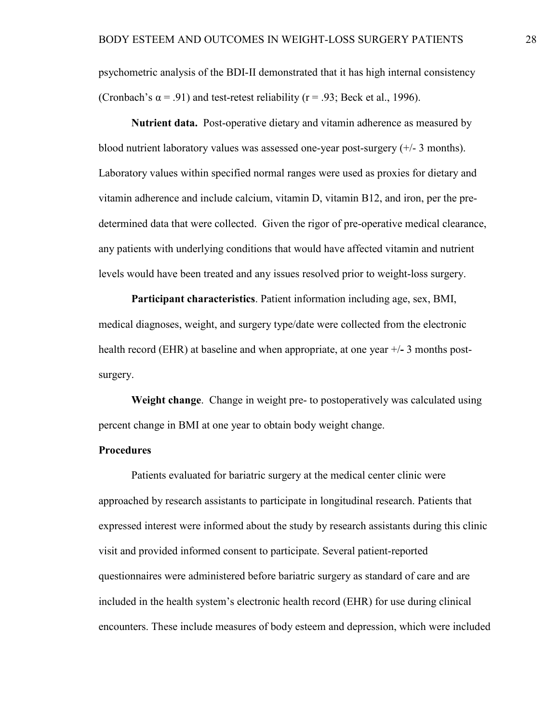psychometric analysis of the BDI-II demonstrated that it has high internal consistency (Cronbach's  $\alpha$  = .91) and test-retest reliability (r = .93; Beck et al., 1996).

**Nutrient data.** Post-operative dietary and vitamin adherence as measured by blood nutrient laboratory values was assessed one-year post-surgery (+/- 3 months). Laboratory values within specified normal ranges were used as proxies for dietary and vitamin adherence and include calcium, vitamin D, vitamin B12, and iron, per the predetermined data that were collected. Given the rigor of pre-operative medical clearance, any patients with underlying conditions that would have affected vitamin and nutrient levels would have been treated and any issues resolved prior to weight-loss surgery.

**Participant characteristics**. Patient information including age, sex, BMI, medical diagnoses, weight, and surgery type/date were collected from the electronic health record (EHR) at baseline and when appropriate, at one year +/**-** 3 months postsurgery.

**Weight change**. Change in weight pre- to postoperatively was calculated using percent change in BMI at one year to obtain body weight change.

#### <span id="page-33-0"></span>**Procedures**

Patients evaluated for bariatric surgery at the medical center clinic were approached by research assistants to participate in longitudinal research. Patients that expressed interest were informed about the study by research assistants during this clinic visit and provided informed consent to participate. Several patient-reported questionnaires were administered before bariatric surgery as standard of care and are included in the health system's electronic health record (EHR) for use during clinical encounters. These include measures of body esteem and depression, which were included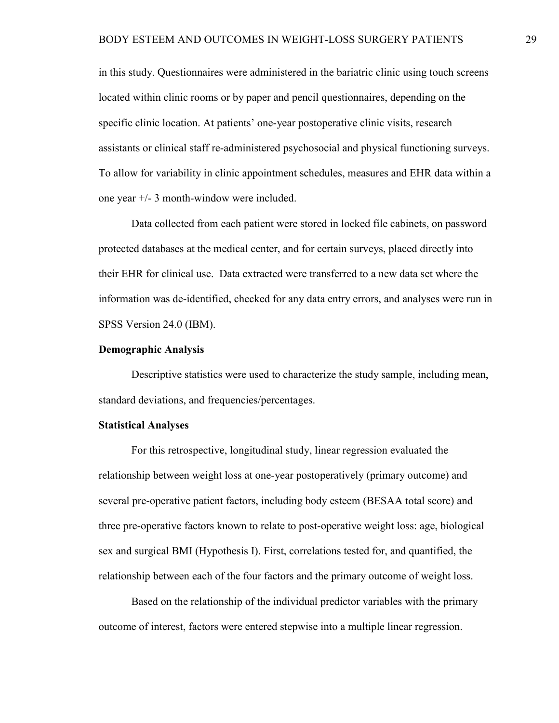in this study. Questionnaires were administered in the bariatric clinic using touch screens located within clinic rooms or by paper and pencil questionnaires, depending on the specific clinic location. At patients' one-year postoperative clinic visits, research assistants or clinical staff re-administered psychosocial and physical functioning surveys. To allow for variability in clinic appointment schedules, measures and EHR data within a one year +/- 3 month-window were included.

Data collected from each patient were stored in locked file cabinets, on password protected databases at the medical center, and for certain surveys, placed directly into their EHR for clinical use. Data extracted were transferred to a new data set where the information was de-identified, checked for any data entry errors, and analyses were run in SPSS Version 24.0 (IBM).

#### <span id="page-34-0"></span>**Demographic Analysis**

Descriptive statistics were used to characterize the study sample, including mean, standard deviations, and frequencies/percentages.

#### <span id="page-34-1"></span>**Statistical Analyses**

For this retrospective, longitudinal study, linear regression evaluated the relationship between weight loss at one-year postoperatively (primary outcome) and several pre-operative patient factors, including body esteem (BESAA total score) and three pre-operative factors known to relate to post-operative weight loss: age, biological sex and surgical BMI (Hypothesis I). First, correlations tested for, and quantified, the relationship between each of the four factors and the primary outcome of weight loss.

Based on the relationship of the individual predictor variables with the primary outcome of interest, factors were entered stepwise into a multiple linear regression.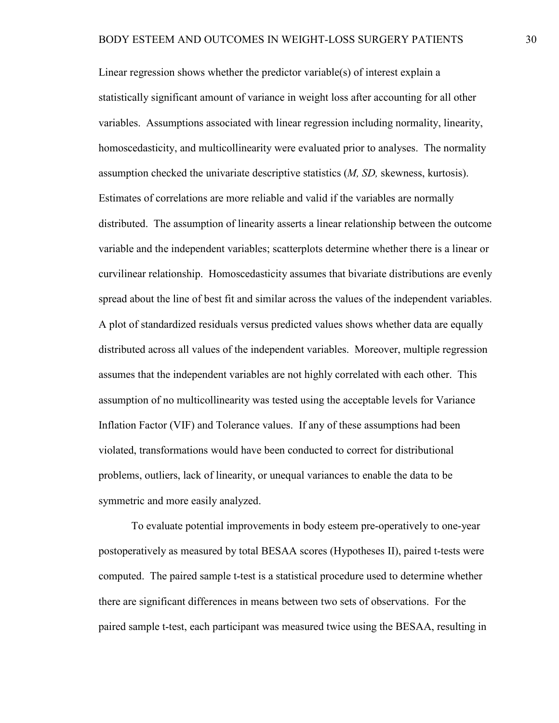Linear regression shows whether the predictor variable(s) of interest explain a statistically significant amount of variance in weight loss after accounting for all other variables. Assumptions associated with linear regression including normality, linearity, homoscedasticity, and multicollinearity were evaluated prior to analyses. The normality assumption checked the univariate descriptive statistics (*M, SD,* skewness, kurtosis). Estimates of correlations are more reliable and valid if the variables are normally distributed. The assumption of linearity asserts a linear relationship between the outcome variable and the independent variables; scatterplots determine whether there is a linear or curvilinear relationship. Homoscedasticity assumes that bivariate distributions are evenly spread about the line of best fit and similar across the values of the independent variables. A plot of standardized residuals versus predicted values shows whether data are equally distributed across all values of the independent variables. Moreover, multiple regression assumes that the independent variables are not highly correlated with each other. This assumption of no multicollinearity was tested using the acceptable levels for Variance Inflation Factor (VIF) and Tolerance values. If any of these assumptions had been violated, transformations would have been conducted to correct for distributional problems, outliers, lack of linearity, or unequal variances to enable the data to be symmetric and more easily analyzed.

To evaluate potential improvements in body esteem pre-operatively to one-year postoperatively as measured by total BESAA scores (Hypotheses II), paired t-tests were computed. The paired sample t-test is a statistical procedure used to determine whether there are significant differences in means between two sets of observations. For the paired sample t-test, each participant was measured twice using the BESAA, resulting in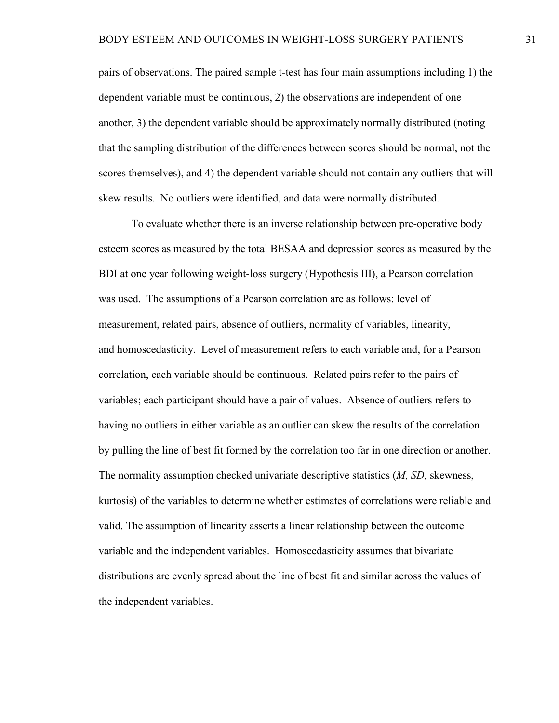pairs of observations. The paired sample t-test has four main assumptions including 1) the dependent variable must be continuous, 2) the observations are independent of one another, 3) the dependent variable should be approximately normally distributed (noting that the sampling distribution of the differences between scores should be normal, not the scores themselves), and 4) the dependent variable should not contain any outliers that will skew results. No outliers were identified, and data were normally distributed.

To evaluate whether there is an inverse relationship between pre-operative body esteem scores as measured by the total BESAA and depression scores as measured by the BDI at one year following weight-loss surgery (Hypothesis III), a Pearson correlation was used. The assumptions of a Pearson correlation are as follows: level of measurement, related pairs, absence of outliers, normality of variables, linearity, and [homoscedasticity.](http://www.statisticssolutions.com/academic-solutions/resources/directory-of-statistical-analyses/homoscedasticity/) Level of measurement refers to each variable and, for a Pearson correlation, each variable should be continuous. Related pairs refer to the pairs of variables; each participant should have a pair of values. Absence of outliers refers to having no outliers in either variable as an outlier can skew the results of the correlation by pulling the line of best fit formed by the correlation too far in one direction or another. The normality assumption checked univariate descriptive statistics (*M, SD,* skewness, kurtosis) of the variables to determine whether estimates of correlations were reliable and valid. The assumption of linearity asserts a linear relationship between the outcome variable and the independent variables. Homoscedasticity assumes that bivariate distributions are evenly spread about the line of best fit and similar across the values of the independent variables.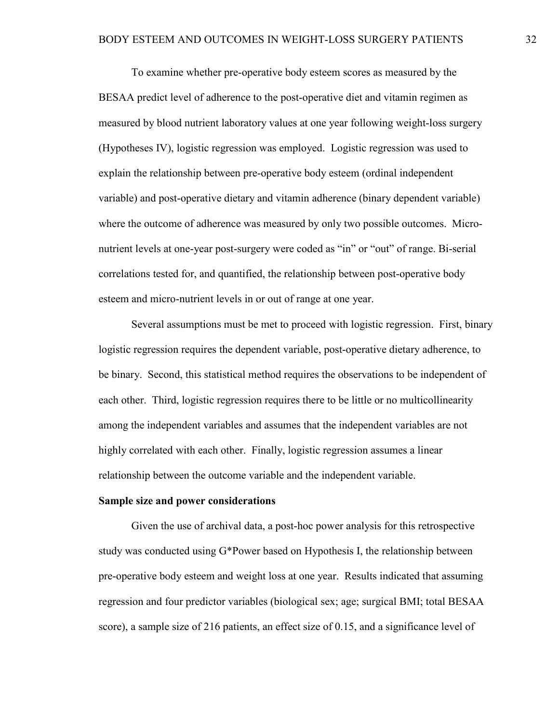To examine whether pre-operative body esteem scores as measured by the BESAA predict level of adherence to the post-operative diet and vitamin regimen as measured by blood nutrient laboratory values at one year following weight-loss surgery (Hypotheses IV), logistic regression was employed. Logistic regression was used to explain the relationship between pre-operative body esteem (ordinal independent variable) and post-operative dietary and vitamin adherence (binary dependent variable) where the outcome of adherence was measured by only two possible outcomes. Micronutrient levels at one-year post-surgery were coded as "in" or "out" of range. Bi-serial correlations tested for, and quantified, the relationship between post-operative body esteem and micro-nutrient levels in or out of range at one year.

Several assumptions must be met to proceed with logistic regression. First, binary logistic regression requires the dependent variable, post-operative dietary adherence, to be binary. Second, this statistical method requires the observations to be independent of each other. Third, logistic regression requires there to be little or no multicollinearity among the independent variables and assumes that the independent variables are not highly correlated with each other. Finally, logistic regression assumes a linear relationship between the outcome variable and the independent variable.

#### **Sample size and power considerations**

Given the use of archival data, a post-hoc power analysis for this retrospective study was conducted using G\*Power based on Hypothesis I, the relationship between pre-operative body esteem and weight loss at one year. Results indicated that assuming regression and four predictor variables (biological sex; age; surgical BMI; total BESAA score), a sample size of 216 patients, an effect size of 0.15, and a significance level of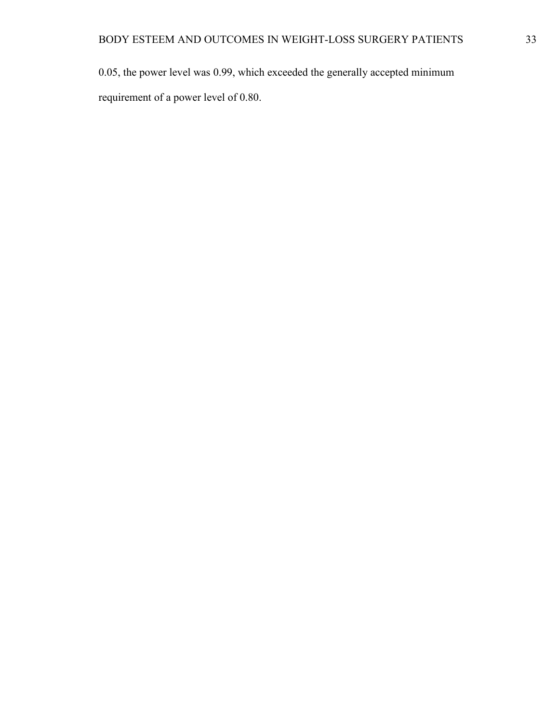0.05, the power level was 0.99, which exceeded the generally accepted minimum requirement of a power level of 0.80.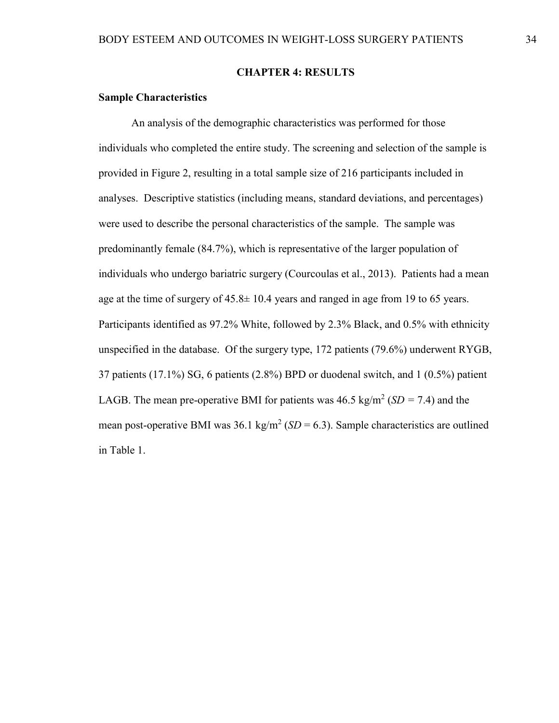### **CHAPTER 4: RESULTS**

# **Sample Characteristics**

An analysis of the demographic characteristics was performed for those individuals who completed the entire study. The screening and selection of the sample is provided in Figure 2, resulting in a total sample size of 216 participants included in analyses. Descriptive statistics (including means, standard deviations, and percentages) were used to describe the personal characteristics of the sample.The sample was predominantly female (84.7%), which is representative of the larger population of individuals who undergo bariatric surgery (Courcoulas et al., 2013). Patients had a mean age at the time of surgery of  $45.8 \pm 10.4$  years and ranged in age from 19 to 65 years. Participants identified as 97.2% White, followed by 2.3% Black, and 0.5% with ethnicity unspecified in the database. Of the surgery type, 172 patients (79.6%) underwent RYGB, 37 patients (17.1%) SG, 6 patients (2.8%) BPD or duodenal switch, and 1 (0.5%) patient LAGB. The mean pre-operative BMI for patients was  $46.5 \text{ kg/m}^2$  (*SD* = 7.4) and the mean post-operative BMI was  $36.1 \text{ kg/m}^2$  (*SD* = 6.3). Sample characteristics are outlined in Table 1.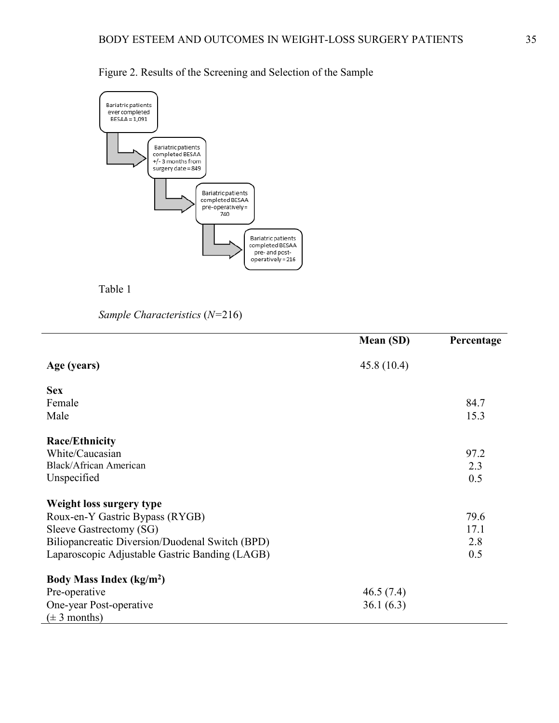

Figure 2. Results of the Screening and Selection of the Sample



*Sample Characteristics* (*N=*216)

|                                                 | <b>Mean (SD)</b> | Percentage |
|-------------------------------------------------|------------------|------------|
| Age (years)                                     | 45.8(10.4)       |            |
| <b>Sex</b>                                      |                  |            |
| Female                                          |                  | 84.7       |
| Male                                            |                  | 15.3       |
| <b>Race/Ethnicity</b>                           |                  |            |
| White/Caucasian                                 |                  | 97.2       |
| Black/African American                          |                  | 2.3        |
| Unspecified                                     |                  | 0.5        |
| Weight loss surgery type                        |                  |            |
| Roux-en-Y Gastric Bypass (RYGB)                 |                  | 79.6       |
| Sleeve Gastrectomy (SG)                         |                  | 17.1       |
| Biliopancreatic Diversion/Duodenal Switch (BPD) |                  | 2.8        |
| Laparoscopic Adjustable Gastric Banding (LAGB)  |                  | 0.5        |
| Body Mass Index (kg/m <sup>2</sup> )            |                  |            |
| Pre-operative                                   | 46.5(7.4)        |            |
| One-year Post-operative                         | 36.1(6.3)        |            |
| $(\pm 3$ months)                                |                  |            |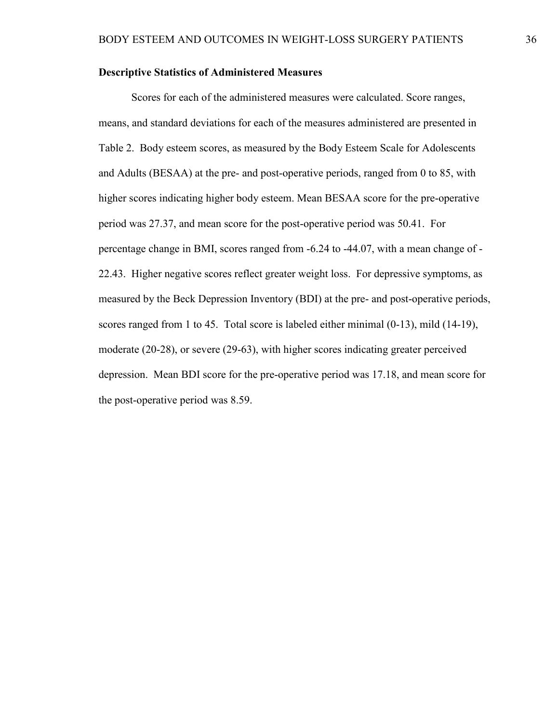# **Descriptive Statistics of Administered Measures**

Scores for each of the administered measures were calculated. Score ranges, means, and standard deviations for each of the measures administered are presented in Table 2. Body esteem scores, as measured by the Body Esteem Scale for Adolescents and Adults (BESAA) at the pre- and post-operative periods, ranged from 0 to 85, with higher scores indicating higher body esteem. Mean BESAA score for the pre-operative period was 27.37, and mean score for the post-operative period was 50.41. For percentage change in BMI, scores ranged from -6.24 to -44.07, with a mean change of - 22.43. Higher negative scores reflect greater weight loss. For depressive symptoms, as measured by the Beck Depression Inventory (BDI) at the pre- and post-operative periods, scores ranged from 1 to 45. Total score is labeled either minimal (0-13), mild (14-19), moderate (20-28), or severe (29-63), with higher scores indicating greater perceived depression. Mean BDI score for the pre-operative period was 17.18, and mean score for the post-operative period was 8.59.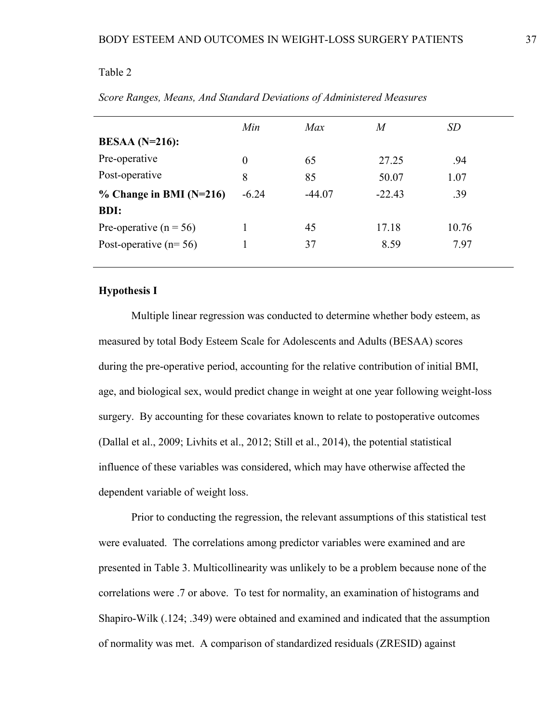|                            | Min      | Max      | M        | <i>SD</i> |
|----------------------------|----------|----------|----------|-----------|
| $BESAA (N=216):$           |          |          |          |           |
| Pre-operative              | $\theta$ | 65       | 27.25    | .94       |
| Post-operative             | 8        | 85       | 50.07    | 1.07      |
| $\%$ Change in BMI (N=216) | $-6.24$  | $-44.07$ | $-22.43$ | .39       |
| <b>BDI:</b>                |          |          |          |           |
| Pre-operative ( $n = 56$ ) |          | 45       | 17.18    | 10.76     |
| Post-operative $(n=56)$    |          | 37       | 8.59     | 7.97      |
|                            |          |          |          |           |

*Score Ranges, Means, And Standard Deviations of Administered Measures*

## **Hypothesis I**

Multiple linear regression was conducted to determine whether body esteem, as measured by total Body Esteem Scale for Adolescents and Adults (BESAA) scores during the pre-operative period, accounting for the relative contribution of initial BMI, age, and biological sex, would predict change in weight at one year following weight-loss surgery. By accounting for these covariates known to relate to postoperative outcomes (Dallal et al., 2009; Livhits et al., 2012; Still et al., 2014), the potential statistical influence of these variables was considered, which may have otherwise affected the dependent variable of weight loss.

Prior to conducting the regression, the relevant assumptions of this statistical test were evaluated. The correlations among predictor variables were examined and are presented in Table 3. Multicollinearity was unlikely to be a problem because none of the correlations were .7 or above. To test for normality, an examination of histograms and Shapiro-Wilk (.124; .349) were obtained and examined and indicated that the assumption of normality was met. A comparison of standardized residuals (ZRESID) against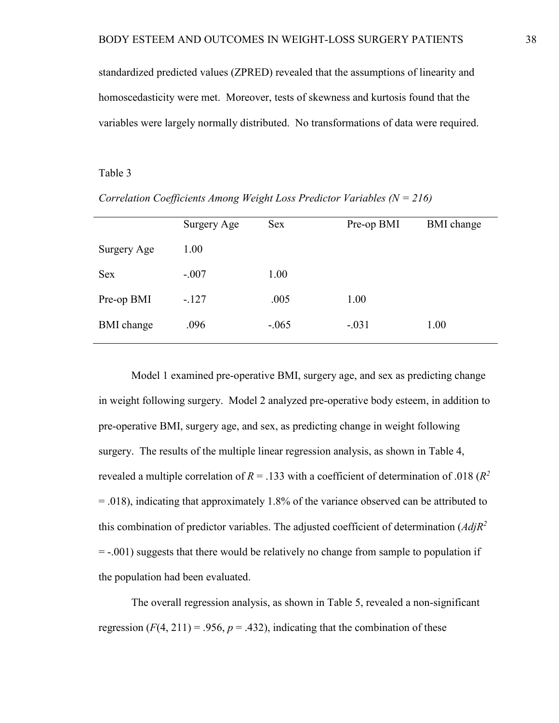standardized predicted values (ZPRED) revealed that the assumptions of linearity and homoscedasticity were met. Moreover, tests of skewness and kurtosis found that the variables were largely normally distributed. No transformations of data were required.

### Table 3

|                   | Surgery Age | Sex     | Pre-op BMI | <b>BMI</b> change |
|-------------------|-------------|---------|------------|-------------------|
| Surgery Age       | 1.00        |         |            |                   |
| <b>Sex</b>        | $-.007$     | 1.00    |            |                   |
| Pre-op BMI        | $-.127$     | .005    | 1.00       |                   |
| <b>BMI</b> change | .096        | $-.065$ | $-.031$    | 1.00              |
|                   |             |         |            |                   |

*Correlation Coefficients Among Weight Loss Predictor Variables (N = 216)*

Model 1 examined pre-operative BMI, surgery age, and sex as predicting change in weight following surgery. Model 2 analyzed pre-operative body esteem, in addition to pre-operative BMI, surgery age, and sex, as predicting change in weight following surgery. The results of the multiple linear regression analysis, as shown in Table 4, revealed a multiple correlation of  $R = .133$  with a coefficient of determination of .018 ( $R^2$ ) = .018), indicating that approximately 1.8% of the variance observed can be attributed to this combination of predictor variables. The adjusted coefficient of determination (*AdjR2*  = -.001) suggests that there would be relatively no change from sample to population if the population had been evaluated.

The overall regression analysis, as shown in Table 5, revealed a non-significant regression  $(F(4, 211) = .956, p = .432)$ , indicating that the combination of these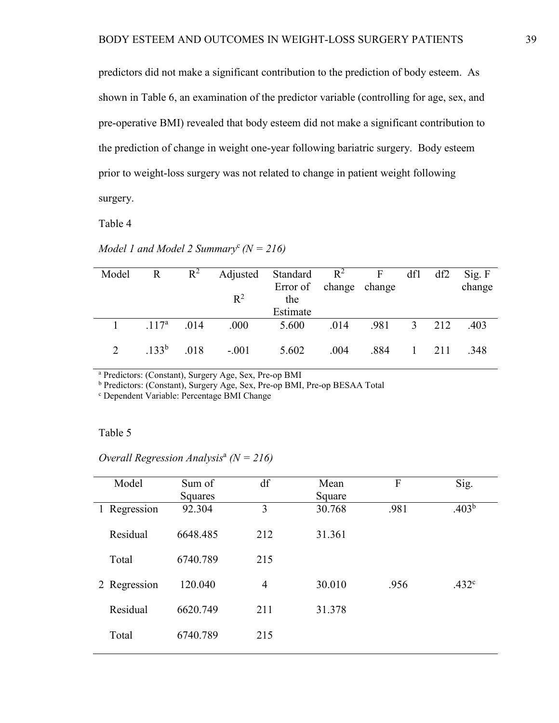predictors did not make a significant contribution to the prediction of body esteem. As shown in Table 6, an examination of the predictor variable (controlling for age, sex, and pre-operative BMI) revealed that body esteem did not make a significant contribution to the prediction of change in weight one-year following bariatric surgery. Body esteem prior to weight-loss surgery was not related to change in patient weight following surgery.

Table 4

| Model | R          | $R^2$ |         | Adjusted Standard $R^2$ F |      |      | df1          | df2 | Sig. F |
|-------|------------|-------|---------|---------------------------|------|------|--------------|-----|--------|
|       |            |       |         | Error of change change    |      |      |              |     | change |
|       |            |       | $R^2$   | the                       |      |      |              |     |        |
|       |            |       |         | Estimate                  |      |      |              |     |        |
|       | $.117^{a}$ | .014  | .000    | 5.600                     | .014 | .981 | 3 212        |     | .403   |
|       | $.133^{b}$ | .018  | $-.001$ | 5.602                     | .004 | .884 | $\mathbf{1}$ | 211 | .348   |

*Model 1 and Model 2 Summary*<sup>c</sup>  $(N = 216)$ 

<sup>a</sup> Predictors: (Constant), Surgery Age, Sex, Pre-op BMI

<sup>b</sup> Predictors: (Constant), Surgery Age, Sex, Pre-op BMI, Pre-op BESAA Total

<sup>c</sup> Dependent Variable: Percentage BMI Change

## Table 5

| Model        | Sum of   | df             | Mean   | F    | Sig.              |
|--------------|----------|----------------|--------|------|-------------------|
|              | Squares  |                | Square |      |                   |
| 1 Regression | 92.304   | 3              | 30.768 | .981 | .403 <sup>b</sup> |
| Residual     | 6648.485 | 212            | 31.361 |      |                   |
| Total        | 6740.789 | 215            |        |      |                   |
| 2 Regression | 120.040  | $\overline{4}$ | 30.010 | .956 | .432 <sup>c</sup> |
| Residual     | 6620.749 | 211            | 31.378 |      |                   |
| Total        | 6740.789 | 215            |        |      |                   |
|              |          |                |        |      |                   |

*Overall Regression Analysis*<sup>a</sup> *(N = 216)*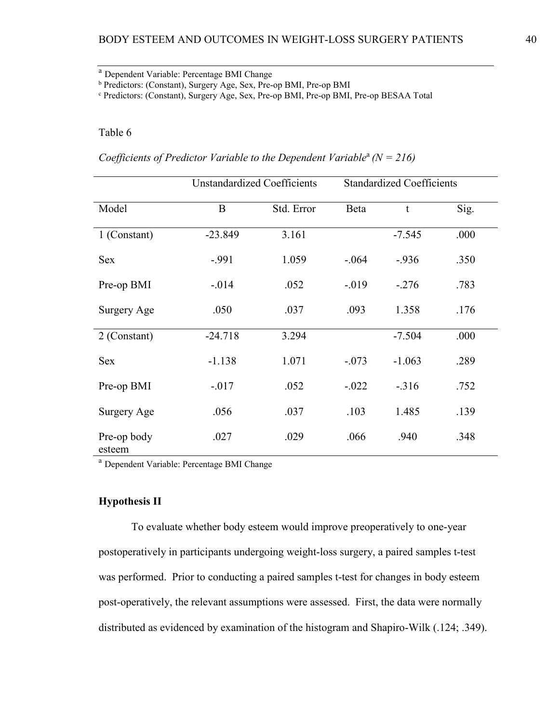<sup>a</sup> Dependent Variable: Percentage BMI Change

<sup>b</sup> Predictors: (Constant), Surgery Age, Sex, Pre-op BMI, Pre-op BMI

<sup>c</sup> Predictors: (Constant), Surgery Age, Sex, Pre-op BMI, Pre-op BMI, Pre-op BESAA Total

# Table 6

*Coefficients of Predictor Variable to the Dependent Variable<sup>a</sup> (N = 216)* 

|                       | <b>Unstandardized Coefficients</b> |            | <b>Standardized Coefficients</b> |          |      |
|-----------------------|------------------------------------|------------|----------------------------------|----------|------|
| Model                 | B                                  | Std. Error | Beta                             | t        | Sig. |
| 1 (Constant)          | $-23.849$                          | 3.161      |                                  | $-7.545$ | .000 |
| <b>Sex</b>            | $-.991$                            | 1.059      | $-.064$                          | $-0.936$ | .350 |
| Pre-op BMI            | $-.014$                            | .052       | $-.019$                          | $-.276$  | .783 |
| Surgery Age           | .050                               | .037       | .093                             | 1.358    | .176 |
| 2 (Constant)          | $-24.718$                          | 3.294      |                                  | $-7.504$ | .000 |
| <b>Sex</b>            | $-1.138$                           | 1.071      | $-.073$                          | $-1.063$ | .289 |
| Pre-op BMI            | $-.017$                            | .052       | $-.022$                          | $-.316$  | .752 |
| Surgery Age           | .056                               | .037       | .103                             | 1.485    | .139 |
| Pre-op body<br>esteem | .027                               | .029       | .066                             | .940     | .348 |

<sup>a</sup> Dependent Variable: Percentage BMI Change

### **Hypothesis II**

To evaluate whether body esteem would improve preoperatively to one-year postoperatively in participants undergoing weight-loss surgery, a paired samples t-test was performed. Prior to conducting a paired samples t-test for changes in body esteem post-operatively, the relevant assumptions were assessed. First, the data were normally distributed as evidenced by examination of the histogram and Shapiro-Wilk (.124; .349).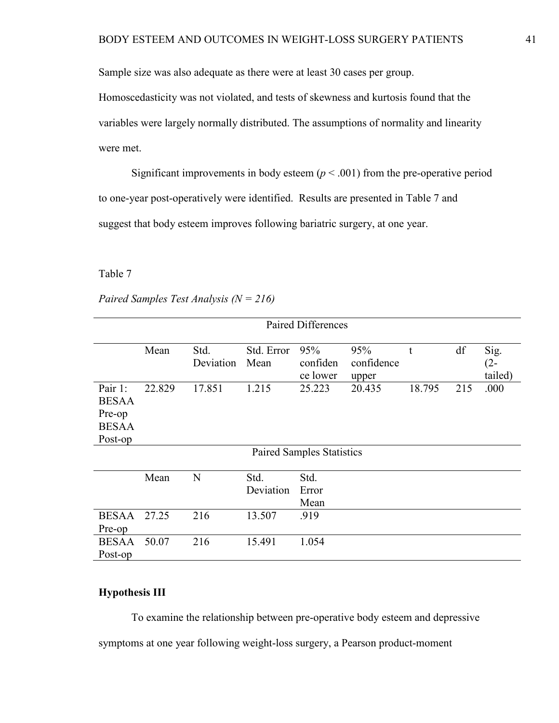Sample size was also adequate as there were at least 30 cases per group.

Homoscedasticity was not violated, and tests of skewness and kurtosis found that the variables were largely normally distributed. The assumptions of normality and linearity were met.

Significant improvements in body esteem  $(p < .001)$  from the pre-operative period to one-year post-operatively were identified. Results are presented in Table 7 and suggest that body esteem improves following bariatric surgery, at one year.

Table 7

*Paired Samples Test Analysis (N = 216)*

|                                                              | <b>Paired Differences</b> |                   |                    |                                  |                            |        |     |                           |
|--------------------------------------------------------------|---------------------------|-------------------|--------------------|----------------------------------|----------------------------|--------|-----|---------------------------|
|                                                              | Mean                      | Std.<br>Deviation | Std. Error<br>Mean | 95%<br>confiden<br>ce lower      | 95%<br>confidence<br>upper | t      | df  | Sig.<br>$(2 -$<br>tailed) |
| Pair 1:<br><b>BESAA</b><br>Pre-op<br><b>BESAA</b><br>Post-op | 22.829                    | 17.851            | 1.215              | 25.223                           | 20.435                     | 18.795 | 215 | .000                      |
|                                                              |                           |                   |                    | <b>Paired Samples Statistics</b> |                            |        |     |                           |
|                                                              | Mean                      | N                 | Std.<br>Deviation  | Std.<br>Error<br>Mean            |                            |        |     |                           |
| <b>BESAA</b><br>Pre-op                                       | 27.25                     | 216               | 13.507             | .919                             |                            |        |     |                           |
| <b>BESAA</b><br>Post-op                                      | 50.07                     | 216               | 15.491             | 1.054                            |                            |        |     |                           |

# **Hypothesis III**

To examine the relationship between pre-operative body esteem and depressive symptoms at one year following weight-loss surgery, a Pearson product-moment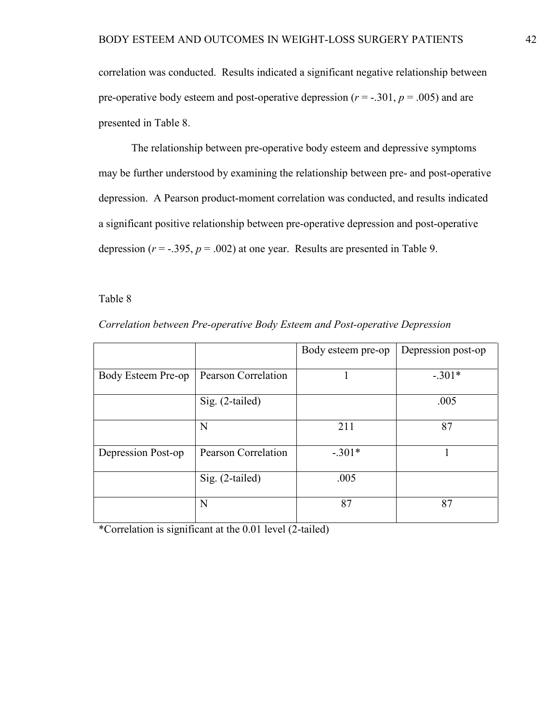correlation was conducted. Results indicated a significant negative relationship between pre-operative body esteem and post-operative depression  $(r = -.301, p = .005)$  and are presented in Table 8.

The relationship between pre-operative body esteem and depressive symptoms may be further understood by examining the relationship between pre- and post-operative depression. A Pearson product-moment correlation was conducted, and results indicated a significant positive relationship between pre-operative depression and post-operative depression  $(r = -.395, p = .002)$  at one year. Results are presented in Table 9.

#### Table 8

|                    |                            | Body esteem pre-op | Depression post-op |
|--------------------|----------------------------|--------------------|--------------------|
| Body Esteem Pre-op | <b>Pearson Correlation</b> |                    | $-.301*$           |
|                    | Sig. (2-tailed)            |                    | .005               |
|                    | N                          | 211                | 87                 |
| Depression Post-op | <b>Pearson Correlation</b> | $-.301*$           |                    |
|                    | Sig. (2-tailed)            | .005               |                    |
|                    | N                          | 87                 | 87                 |

*Correlation between Pre-operative Body Esteem and Post-operative Depression* 

\*Correlation is significant at the 0.01 level (2-tailed)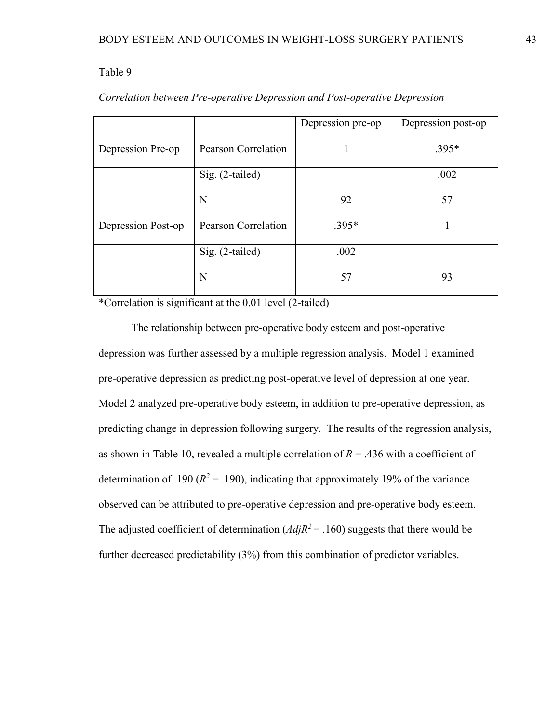|                    |                     | Depression pre-op | Depression post-op |
|--------------------|---------------------|-------------------|--------------------|
| Depression Pre-op  | Pearson Correlation |                   | $.395*$            |
|                    | Sig. (2-tailed)     |                   | .002               |
|                    | N                   | 92                | 57                 |
| Depression Post-op | Pearson Correlation | $.395*$           |                    |
|                    | Sig. (2-tailed)     | .002              |                    |
|                    | N                   | 57                | 93                 |

# *Correlation between Pre-operative Depression and Post-operative Depression*

\*Correlation is significant at the 0.01 level (2-tailed)

The relationship between pre-operative body esteem and post-operative depression was further assessed by a multiple regression analysis. Model 1 examined pre-operative depression as predicting post-operative level of depression at one year. Model 2 analyzed pre-operative body esteem, in addition to pre-operative depression, as predicting change in depression following surgery. The results of the regression analysis, as shown in Table 10, revealed a multiple correlation of *R* = .436 with a coefficient of determination of .190 ( $R^2$  = .190), indicating that approximately 19% of the variance observed can be attributed to pre-operative depression and pre-operative body esteem. The adjusted coefficient of determination  $(AdjR^2 = .160)$  suggests that there would be further decreased predictability (3%) from this combination of predictor variables.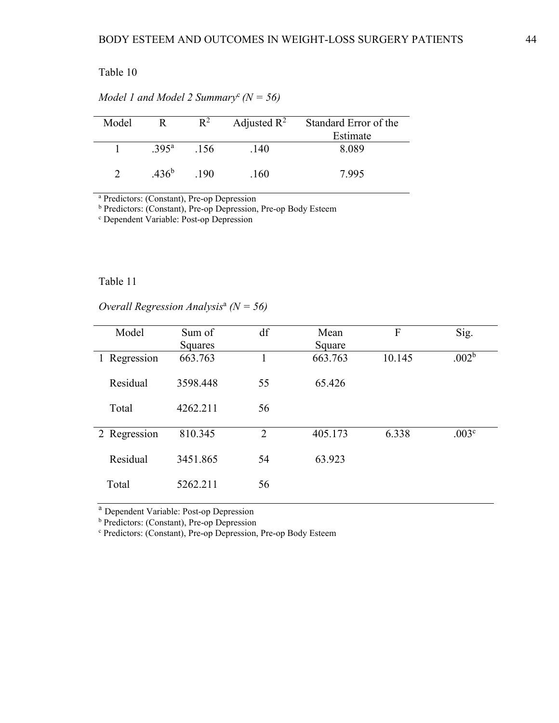| Model | R                   | $R^2$ |      | Adjusted $R^2$ Standard Error of the<br>Estimate |
|-------|---------------------|-------|------|--------------------------------------------------|
|       | $.395^{\circ}$ .156 |       | .140 | 8.089                                            |
|       | .436 <sup>b</sup>   | .190  | .160 | 7.995                                            |

*Model 1 and Model 2 Summary*<sup>c</sup>*(N = 56)*

<sup>a</sup> Predictors: (Constant), Pre-op Depression

<sup>b</sup> Predictors: (Constant), Pre-op Depression, Pre-op Body Esteem

<sup>c</sup> Dependent Variable: Post-op Depression

## Table 11

*Overall Regression Analysis*<sup>a</sup> *(N = 56)*

| Model        | Sum of   | df             | Mean    | $\overline{F}$ | Sig.              |
|--------------|----------|----------------|---------|----------------|-------------------|
|              | Squares  |                | Square  |                |                   |
| 1 Regression | 663.763  |                | 663.763 | 10.145         | .002 <sup>b</sup> |
| Residual     | 3598.448 | 55             | 65.426  |                |                   |
| Total        | 4262.211 | 56             |         |                |                   |
| 2 Regression | 810.345  | $\overline{2}$ | 405.173 | 6.338          | .003 <sup>c</sup> |
| Residual     | 3451.865 | 54             | 63.923  |                |                   |
| Total        | 5262.211 | 56             |         |                |                   |

<sup>a</sup> Dependent Variable: Post-op Depression

<sup>b</sup> Predictors: (Constant), Pre-op Depression

<sup>c</sup> Predictors: (Constant), Pre-op Depression, Pre-op Body Esteem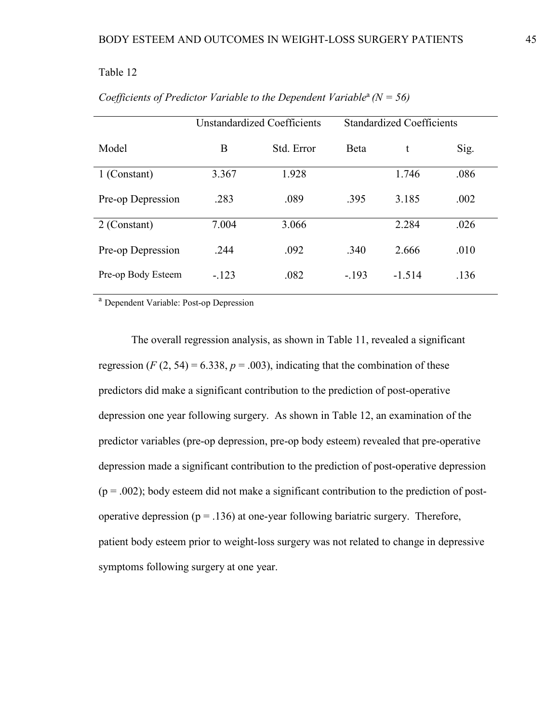| <b>Unstandardized Coefficients</b> |            | <b>Standardized Coefficients</b> |          |      |
|------------------------------------|------------|----------------------------------|----------|------|
| B                                  | Std. Error | Beta                             | t        | Sig. |
| 3.367                              | 1.928      |                                  | 1.746    | .086 |
| .283                               | .089       | .395                             | 3.185    | .002 |
| 7.004                              | 3.066      |                                  | 2.284    | .026 |
| .244                               | .092       | .340                             | 2.666    | .010 |
| $-.123$                            | .082       | $-.193$                          | $-1.514$ | .136 |
|                                    |            |                                  |          |      |

*Coefficients of Predictor Variable to the Dependent Variable<sup>a</sup>*  $(N = 56)$ 

<sup>a</sup> Dependent Variable: Post-op Depression

The overall regression analysis, as shown in Table 11, revealed a significant regression  $(F (2, 54) = 6.338, p = .003)$ , indicating that the combination of these predictors did make a significant contribution to the prediction of post-operative depression one year following surgery. As shown in Table 12, an examination of the predictor variables (pre-op depression, pre-op body esteem) revealed that pre-operative depression made a significant contribution to the prediction of post-operative depression  $(p = .002)$ ; body esteem did not make a significant contribution to the prediction of postoperative depression ( $p = .136$ ) at one-year following bariatric surgery. Therefore, patient body esteem prior to weight-loss surgery was not related to change in depressive symptoms following surgery at one year.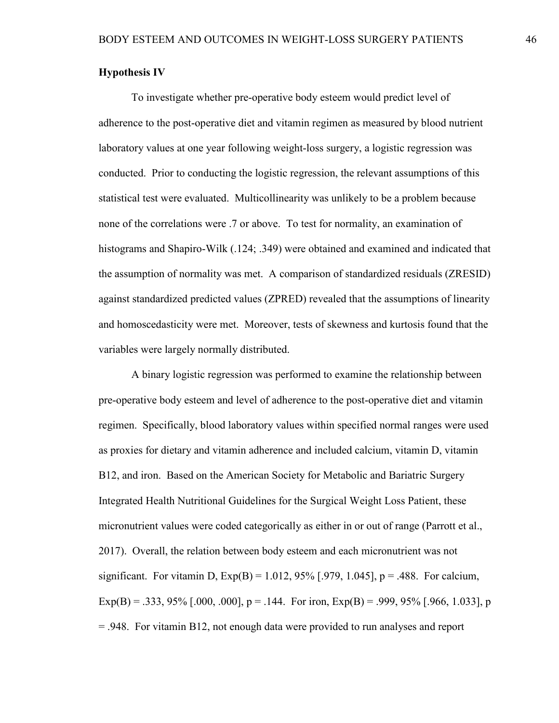# **Hypothesis IV**

To investigate whether pre-operative body esteem would predict level of adherence to the post-operative diet and vitamin regimen as measured by blood nutrient laboratory values at one year following weight-loss surgery, a logistic regression was conducted. Prior to conducting the logistic regression, the relevant assumptions of this statistical test were evaluated. Multicollinearity was unlikely to be a problem because none of the correlations were .7 or above. To test for normality, an examination of histograms and Shapiro-Wilk (.124; .349) were obtained and examined and indicated that the assumption of normality was met. A comparison of standardized residuals (ZRESID) against standardized predicted values (ZPRED) revealed that the assumptions of linearity and homoscedasticity were met. Moreover, tests of skewness and kurtosis found that the variables were largely normally distributed.

A binary logistic regression was performed to examine the relationship between pre-operative body esteem and level of adherence to the post-operative diet and vitamin regimen. Specifically, blood laboratory values within specified normal ranges were used as proxies for dietary and vitamin adherence and included calcium, vitamin D, vitamin B12, and iron. Based on the American Society for Metabolic and Bariatric Surgery Integrated Health Nutritional Guidelines for the Surgical Weight Loss Patient, these micronutrient values were coded categorically as either in or out of range (Parrott et al., 2017). Overall, the relation between body esteem and each micronutrient was not significant. For vitamin D,  $Exp(B) = 1.012, 95\%$  [.979, 1.045], p = .488. For calcium, Exp(B) = .333, 95% [.000, .000], p = .144. For iron, Exp(B) = .999, 95% [.966, 1.033], p = .948. For vitamin B12, not enough data were provided to run analyses and report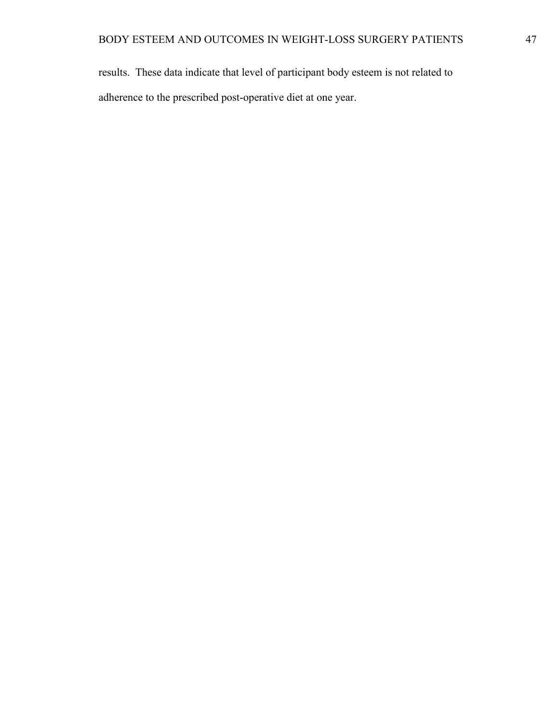results. These data indicate that level of participant body esteem is not related to adherence to the prescribed post-operative diet at one year.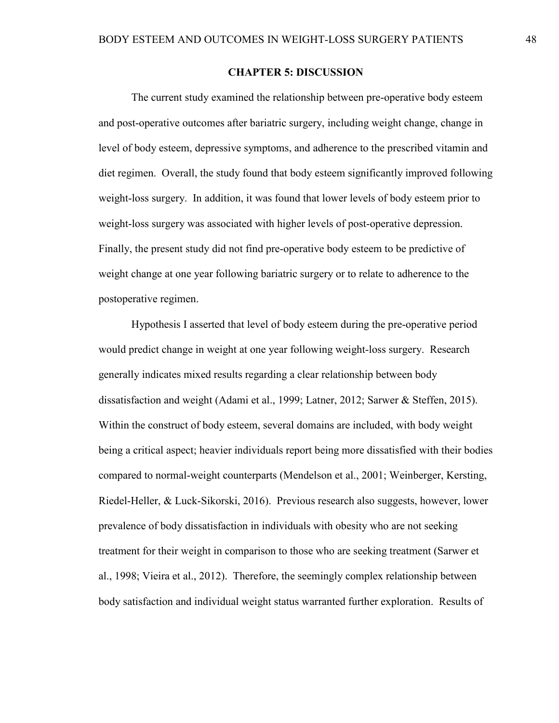### **CHAPTER 5: DISCUSSION**

The current study examined the relationship between pre-operative body esteem and post-operative outcomes after bariatric surgery, including weight change, change in level of body esteem, depressive symptoms, and adherence to the prescribed vitamin and diet regimen. Overall, the study found that body esteem significantly improved following weight-loss surgery. In addition, it was found that lower levels of body esteem prior to weight-loss surgery was associated with higher levels of post-operative depression. Finally, the present study did not find pre-operative body esteem to be predictive of weight change at one year following bariatric surgery or to relate to adherence to the postoperative regimen.

Hypothesis I asserted that level of body esteem during the pre-operative period would predict change in weight at one year following weight-loss surgery. Research generally indicates mixed results regarding a clear relationship between body dissatisfaction and weight (Adami et al., 1999; Latner, 2012; Sarwer & Steffen, 2015). Within the construct of body esteem, several domains are included, with body weight being a critical aspect; heavier individuals report being more dissatisfied with their bodies compared to normal-weight counterparts (Mendelson et al., 2001; Weinberger, Kersting, Riedel-Heller, & Luck-Sikorski, 2016). Previous research also suggests, however, lower prevalence of body dissatisfaction in individuals with obesity who are not seeking treatment for their weight in comparison to those who are seeking treatment (Sarwer et al., 1998; Vieira et al., 2012). Therefore, the seemingly complex relationship between body satisfaction and individual weight status warranted further exploration. Results of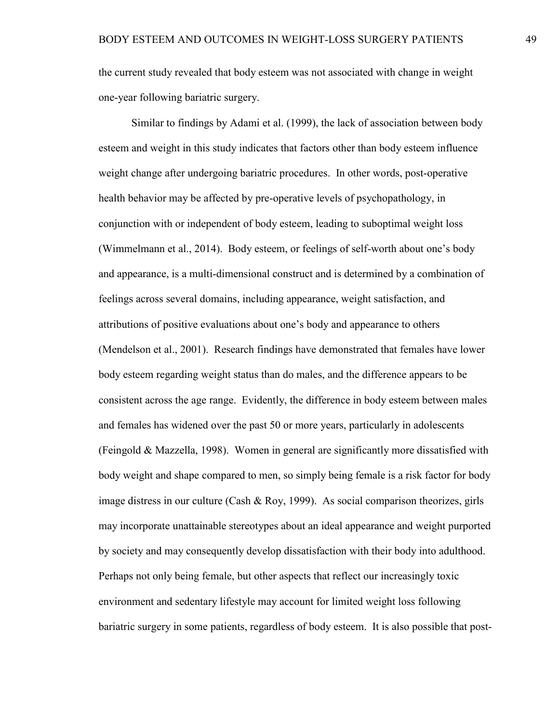the current study revealed that body esteem was not associated with change in weight one-year following bariatric surgery.

Similar to findings by Adami et al. (1999), the lack of association between body esteem and weight in this study indicates that factors other than body esteem influence weight change after undergoing bariatric procedures. In other words, post-operative health behavior may be affected by pre-operative levels of psychopathology, in conjunction with or independent of body esteem, leading to suboptimal weight loss (Wimmelmann et al., 2014). Body esteem, or feelings of self-worth about one's body and appearance, is a multi-dimensional construct and is determined by a combination of feelings across several domains, including appearance, weight satisfaction, and attributions of positive evaluations about one's body and appearance to others (Mendelson et al., 2001). Research findings have demonstrated that females have lower body esteem regarding weight status than do males, and the difference appears to be consistent across the age range. Evidently, the difference in body esteem between males and females has widened over the past 50 or more years, particularly in adolescents (Feingold & Mazzella, 1998). Women in general are significantly more dissatisfied with body weight and shape compared to men, so simply being female is a risk factor for body image distress in our culture (Cash & Roy, 1999). As social comparison theorizes, girls may incorporate unattainable stereotypes about an ideal appearance and weight purported by society and may consequently develop dissatisfaction with their body into adulthood. Perhaps not only being female, but other aspects that reflect our increasingly toxic environment and sedentary lifestyle may account for limited weight loss following bariatric surgery in some patients, regardless of body esteem. It is also possible that post-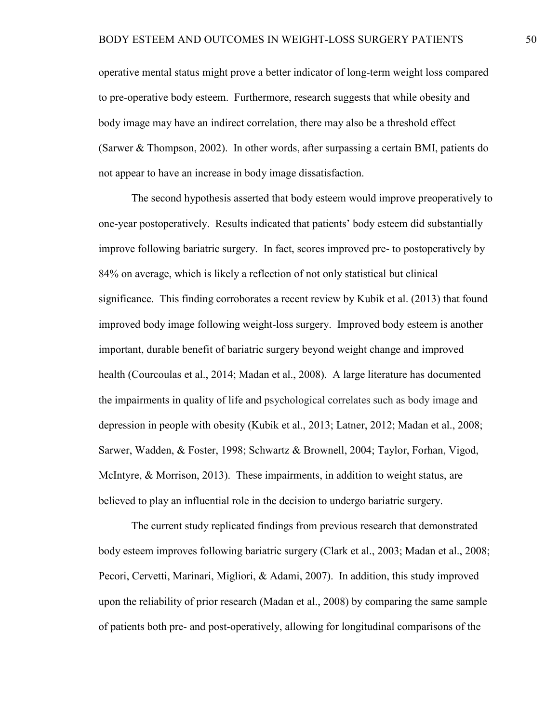operative mental status might prove a better indicator of long-term weight loss compared to pre-operative body esteem. Furthermore, research suggests that while obesity and body image may have an indirect correlation, there may also be a threshold effect (Sarwer & Thompson, 2002). In other words, after surpassing a certain BMI, patients do not appear to have an increase in body image dissatisfaction.

The second hypothesis asserted that body esteem would improve preoperatively to one-year postoperatively. Results indicated that patients' body esteem did substantially improve following bariatric surgery. In fact, scores improved pre- to postoperatively by 84% on average, which is likely a reflection of not only statistical but clinical significance. This finding corroborates a recent review by Kubik et al. (2013) that found improved body image following weight-loss surgery. Improved body esteem is another important, durable benefit of bariatric surgery beyond weight change and improved health (Courcoulas et al., 2014; Madan et al., 2008). A large literature has documented the impairments in quality of life and psychological correlates such as body image and depression in people with obesity (Kubik et al., 2013; Latner, 2012; Madan et al., 2008; Sarwer, Wadden, & Foster, 1998; Schwartz & Brownell, 2004; Taylor, Forhan, Vigod, McIntyre, & Morrison, 2013). These impairments, in addition to weight status, are believed to play an influential role in the decision to undergo bariatric surgery.

The current study replicated findings from previous research that demonstrated body esteem improves following bariatric surgery (Clark et al., 2003; Madan et al., 2008; Pecori, Cervetti, Marinari, Migliori, & Adami, 2007). In addition, this study improved upon the reliability of prior research (Madan et al., 2008) by comparing the same sample of patients both pre- and post-operatively, allowing for longitudinal comparisons of the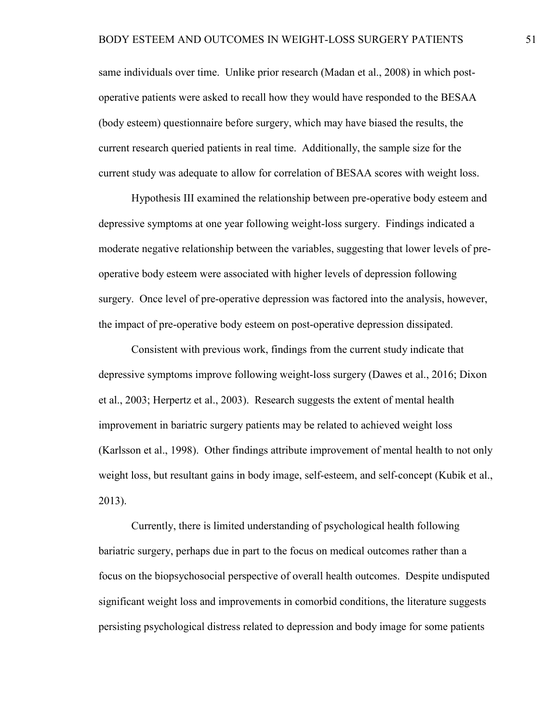same individuals over time. Unlike prior research (Madan et al., 2008) in which postoperative patients were asked to recall how they would have responded to the BESAA (body esteem) questionnaire before surgery, which may have biased the results, the current research queried patients in real time. Additionally, the sample size for the current study was adequate to allow for correlation of BESAA scores with weight loss.

Hypothesis III examined the relationship between pre-operative body esteem and depressive symptoms at one year following weight-loss surgery. Findings indicated a moderate negative relationship between the variables, suggesting that lower levels of preoperative body esteem were associated with higher levels of depression following surgery. Once level of pre-operative depression was factored into the analysis, however, the impact of pre-operative body esteem on post-operative depression dissipated.

Consistent with previous work, findings from the current study indicate that depressive symptoms improve following weight-loss surgery (Dawes et al., 2016; Dixon et al., 2003; Herpertz et al., 2003). Research suggests the extent of mental health improvement in bariatric surgery patients may be related to achieved weight loss (Karlsson et al., 1998). Other findings attribute improvement of mental health to not only weight loss, but resultant gains in body image, self-esteem, and self-concept (Kubik et al., 2013).

Currently, there is limited understanding of psychological health following bariatric surgery, perhaps due in part to the focus on medical outcomes rather than a focus on the biopsychosocial perspective of overall health outcomes. Despite undisputed significant weight loss and improvements in comorbid conditions, the literature suggests persisting psychological distress related to depression and body image for some patients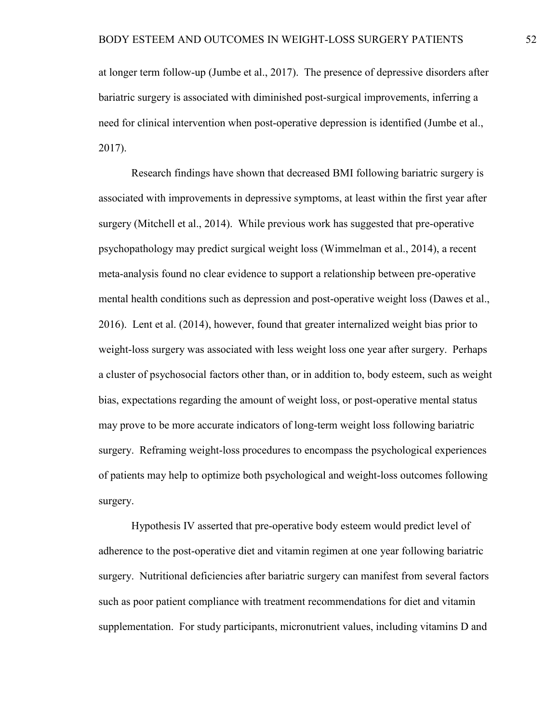at longer term follow-up (Jumbe et al., 2017). The presence of depressive disorders after bariatric surgery is associated with diminished post-surgical improvements, inferring a need for clinical intervention when post-operative depression is identified (Jumbe et al., 2017).

Research findings have shown that decreased BMI following bariatric surgery is associated with improvements in depressive symptoms, at least within the first year after surgery (Mitchell et al., 2014). While previous work has suggested that pre-operative psychopathology may predict surgical weight loss (Wimmelman et al., 2014), a recent meta-analysis found no clear evidence to support a relationship between pre-operative mental health conditions such as depression and post-operative weight loss (Dawes et al., 2016). Lent et al. (2014), however, found that greater internalized weight bias prior to weight-loss surgery was associated with less weight loss one year after surgery. Perhaps a cluster of psychosocial factors other than, or in addition to, body esteem, such as weight bias, expectations regarding the amount of weight loss, or post-operative mental status may prove to be more accurate indicators of long-term weight loss following bariatric surgery. Reframing weight-loss procedures to encompass the psychological experiences of patients may help to optimize both psychological and weight-loss outcomes following surgery.

Hypothesis IV asserted that pre-operative body esteem would predict level of adherence to the post-operative diet and vitamin regimen at one year following bariatric surgery. Nutritional deficiencies after bariatric surgery can manifest from several factors such as poor patient compliance with treatment recommendations for diet and vitamin supplementation. For study participants, micronutrient values, including vitamins D and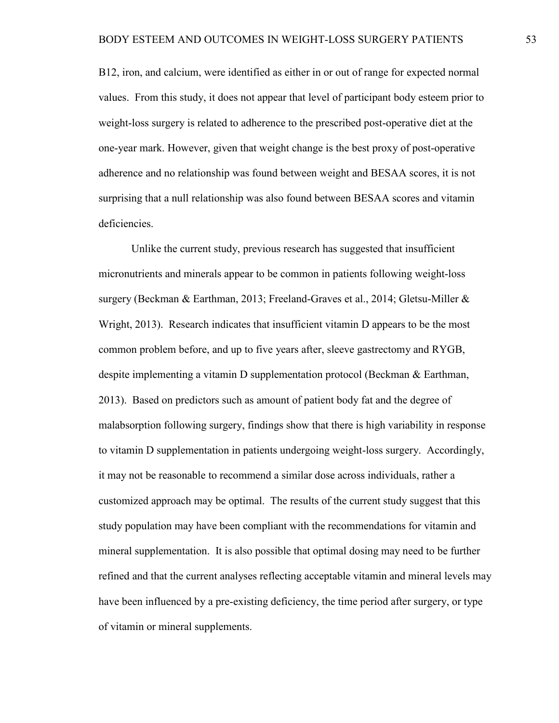B12, iron, and calcium, were identified as either in or out of range for expected normal values. From this study, it does not appear that level of participant body esteem prior to weight-loss surgery is related to adherence to the prescribed post-operative diet at the one-year mark. However, given that weight change is the best proxy of post-operative adherence and no relationship was found between weight and BESAA scores, it is not surprising that a null relationship was also found between BESAA scores and vitamin deficiencies.

Unlike the current study, previous research has suggested that insufficient micronutrients and minerals appear to be common in patients following weight-loss surgery (Beckman & Earthman, 2013; Freeland-Graves et al., 2014; Gletsu-Miller & Wright, 2013). Research indicates that insufficient vitamin D appears to be the most common problem before, and up to five years after, sleeve gastrectomy and RYGB, despite implementing a vitamin D supplementation protocol (Beckman & Earthman, 2013). Based on predictors such as amount of patient body fat and the degree of malabsorption following surgery, findings show that there is high variability in response to vitamin D supplementation in patients undergoing weight-loss surgery. Accordingly, it may not be reasonable to recommend a similar dose across individuals, rather a customized approach may be optimal. The results of the current study suggest that this study population may have been compliant with the recommendations for vitamin and mineral supplementation. It is also possible that optimal dosing may need to be further refined and that the current analyses reflecting acceptable vitamin and mineral levels may have been influenced by a pre-existing deficiency, the time period after surgery, or type of vitamin or mineral supplements.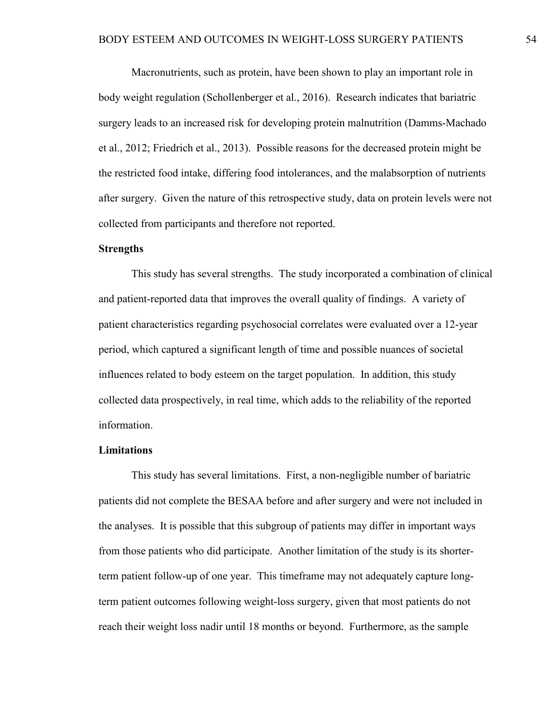Macronutrients, such as protein, have been shown to play an important role in body weight regulation (Schollenberger et al., 2016). Research indicates that bariatric surgery leads to an increased risk for developing protein malnutrition (Damms-Machado et al., 2012; Friedrich et al., 2013). Possible reasons for the decreased protein might be the restricted food intake, differing food intolerances, and the malabsorption of nutrients after surgery. Given the nature of this retrospective study, data on protein levels were not collected from participants and therefore not reported.

### **Strengths**

This study has several strengths. The study incorporated a combination of clinical and patient-reported data that improves the overall quality of findings. A variety of patient characteristics regarding psychosocial correlates were evaluated over a 12-year period, which captured a significant length of time and possible nuances of societal influences related to body esteem on the target population. In addition, this study collected data prospectively, in real time, which adds to the reliability of the reported information.

#### **Limitations**

This study has several limitations. First, a non-negligible number of bariatric patients did not complete the BESAA before and after surgery and were not included in the analyses. It is possible that this subgroup of patients may differ in important ways from those patients who did participate. Another limitation of the study is its shorterterm patient follow-up of one year. This timeframe may not adequately capture longterm patient outcomes following weight-loss surgery, given that most patients do not reach their weight loss nadir until 18 months or beyond. Furthermore, as the sample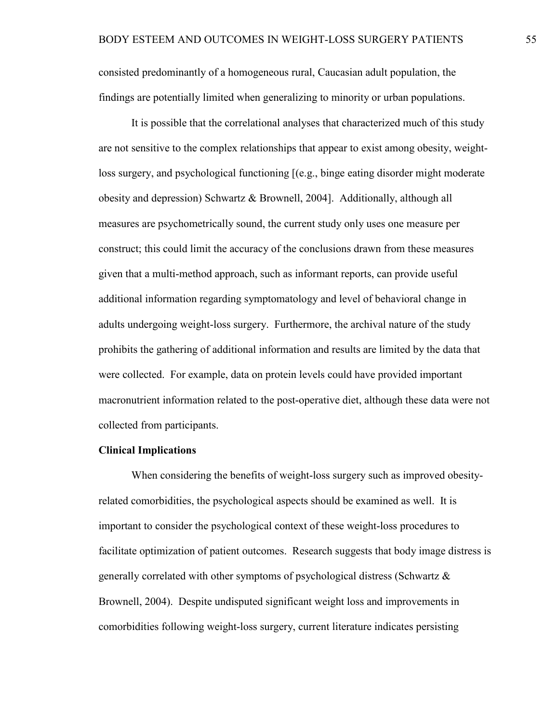consisted predominantly of a homogeneous rural, Caucasian adult population, the findings are potentially limited when generalizing to minority or urban populations.

It is possible that the correlational analyses that characterized much of this study are not sensitive to the complex relationships that appear to exist among obesity, weightloss surgery, and psychological functioning [(e.g., binge eating disorder might moderate obesity and depression) Schwartz & Brownell, 2004]. Additionally, although all measures are psychometrically sound, the current study only uses one measure per construct; this could limit the accuracy of the conclusions drawn from these measures given that a multi-method approach, such as informant reports, can provide useful additional information regarding symptomatology and level of behavioral change in adults undergoing weight-loss surgery. Furthermore, the archival nature of the study prohibits the gathering of additional information and results are limited by the data that were collected. For example, data on protein levels could have provided important macronutrient information related to the post-operative diet, although these data were not collected from participants.

#### **Clinical Implications**

When considering the benefits of weight-loss surgery such as improved obesityrelated comorbidities, the psychological aspects should be examined as well. It is important to consider the psychological context of these weight-loss procedures to facilitate optimization of patient outcomes. Research suggests that body image distress is generally correlated with other symptoms of psychological distress (Schwartz & Brownell, 2004). Despite undisputed significant weight loss and improvements in comorbidities following weight-loss surgery, current literature indicates persisting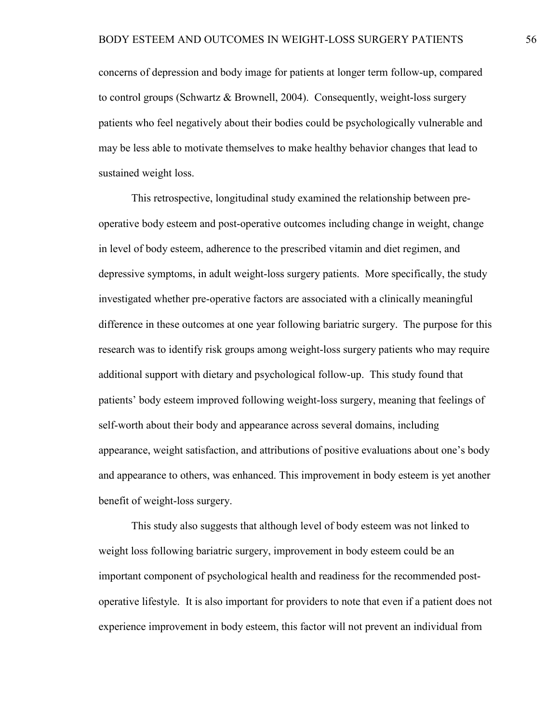concerns of depression and body image for patients at longer term follow-up, compared to control groups (Schwartz & Brownell, 2004). Consequently, weight-loss surgery patients who feel negatively about their bodies could be psychologically vulnerable and may be less able to motivate themselves to make healthy behavior changes that lead to sustained weight loss.

This retrospective, longitudinal study examined the relationship between preoperative body esteem and post-operative outcomes including change in weight, change in level of body esteem, adherence to the prescribed vitamin and diet regimen, and depressive symptoms, in adult weight-loss surgery patients. More specifically, the study investigated whether pre-operative factors are associated with a clinically meaningful difference in these outcomes at one year following bariatric surgery. The purpose for this research was to identify risk groups among weight-loss surgery patients who may require additional support with dietary and psychological follow-up. This study found that patients' body esteem improved following weight-loss surgery, meaning that feelings of self-worth about their body and appearance across several domains, including appearance, weight satisfaction, and attributions of positive evaluations about one's body and appearance to others, was enhanced. This improvement in body esteem is yet another benefit of weight-loss surgery.

This study also suggests that although level of body esteem was not linked to weight loss following bariatric surgery, improvement in body esteem could be an important component of psychological health and readiness for the recommended postoperative lifestyle. It is also important for providers to note that even if a patient does not experience improvement in body esteem, this factor will not prevent an individual from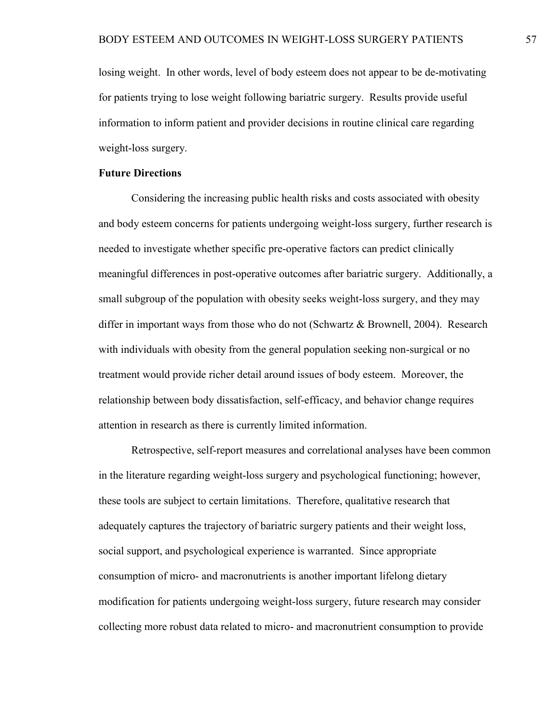losing weight. In other words, level of body esteem does not appear to be de-motivating for patients trying to lose weight following bariatric surgery. Results provide useful information to inform patient and provider decisions in routine clinical care regarding weight-loss surgery.

### **Future Directions**

Considering the increasing public health risks and costs associated with obesity and body esteem concerns for patients undergoing weight-loss surgery, further research is needed to investigate whether specific pre-operative factors can predict clinically meaningful differences in post-operative outcomes after bariatric surgery. Additionally, a small subgroup of the population with obesity seeks weight-loss surgery, and they may differ in important ways from those who do not (Schwartz & Brownell, 2004). Research with individuals with obesity from the general population seeking non-surgical or no treatment would provide richer detail around issues of body esteem. Moreover, the relationship between body dissatisfaction, self-efficacy, and behavior change requires attention in research as there is currently limited information.

Retrospective, self-report measures and correlational analyses have been common in the literature regarding weight-loss surgery and psychological functioning; however, these tools are subject to certain limitations. Therefore, qualitative research that adequately captures the trajectory of bariatric surgery patients and their weight loss, social support, and psychological experience is warranted. Since appropriate consumption of micro- and macronutrients is another important lifelong dietary modification for patients undergoing weight-loss surgery, future research may consider collecting more robust data related to micro- and macronutrient consumption to provide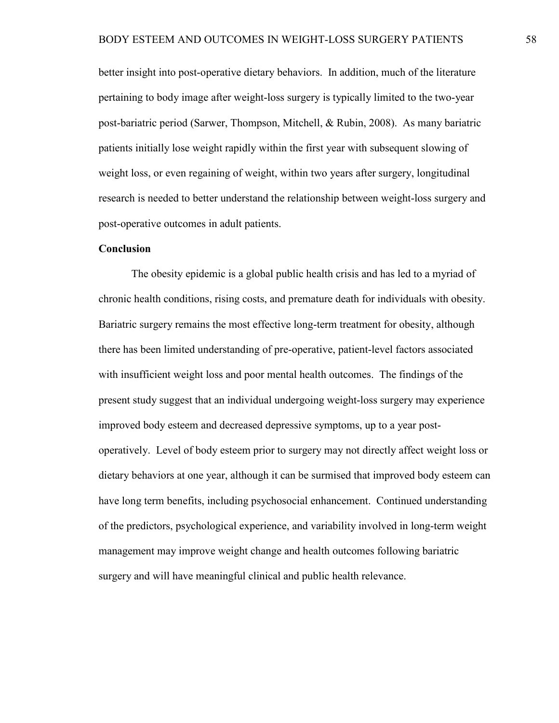better insight into post-operative dietary behaviors. In addition, much of the literature pertaining to body image after weight-loss surgery is typically limited to the two-year post-bariatric period (Sarwer, Thompson, Mitchell, & Rubin, 2008). As many bariatric patients initially lose weight rapidly within the first year with subsequent slowing of weight loss, or even regaining of weight, within two years after surgery, longitudinal research is needed to better understand the relationship between weight-loss surgery and post-operative outcomes in adult patients.

### **Conclusion**

The obesity epidemic is a global public health crisis and has led to a myriad of chronic health conditions, rising costs, and premature death for individuals with obesity. Bariatric surgery remains the most effective long-term treatment for obesity, although there has been limited understanding of pre-operative, patient-level factors associated with insufficient weight loss and poor mental health outcomes. The findings of the present study suggest that an individual undergoing weight-loss surgery may experience improved body esteem and decreased depressive symptoms, up to a year postoperatively. Level of body esteem prior to surgery may not directly affect weight loss or dietary behaviors at one year, although it can be surmised that improved body esteem can have long term benefits, including psychosocial enhancement. Continued understanding of the predictors, psychological experience, and variability involved in long-term weight management may improve weight change and health outcomes following bariatric surgery and will have meaningful clinical and public health relevance.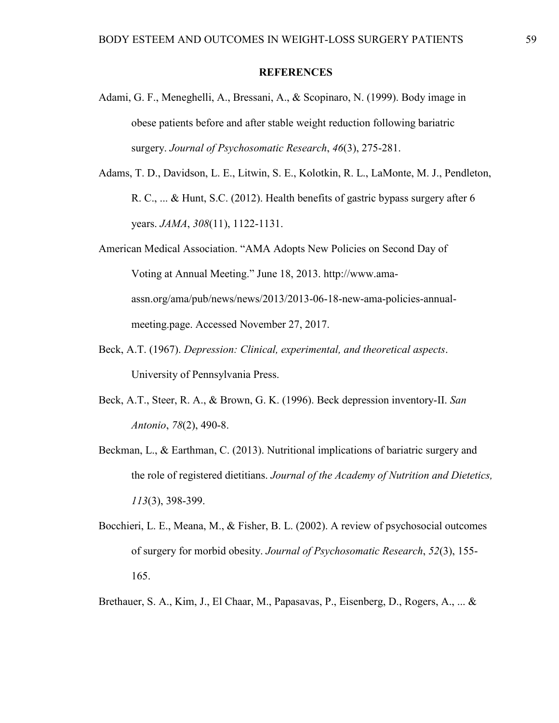### **REFERENCES**

- Adami, G. F., Meneghelli, A., Bressani, A., & Scopinaro, N. (1999). Body image in obese patients before and after stable weight reduction following bariatric surgery. *Journal of Psychosomatic Research*, *46*(3), 275-281.
- Adams, T. D., Davidson, L. E., Litwin, S. E., Kolotkin, R. L., LaMonte, M. J., Pendleton, R. C., ... & Hunt, S.C. (2012). Health benefits of gastric bypass surgery after 6 years. *JAMA*, *308*(11), 1122-1131.
- American Medical Association. "AMA Adopts New Policies on Second Day of Voting at Annual Meeting." June 18, 2013. http://www.amaassn.org/ama/pub/news/news/2013/2013-06-18-new-ama-policies-annualmeeting.page. Accessed November 27, 2017.
- Beck, A.T. (1967). *Depression: Clinical, experimental, and theoretical aspects*. University of Pennsylvania Press.
- Beck, A.T., Steer, R. A., & Brown, G. K. (1996). Beck depression inventory-II. *San Antonio*, *78*(2), 490-8.
- Beckman, L., & Earthman, C. (2013). Nutritional implications of bariatric surgery and the role of registered dietitians. *Journal of the Academy of Nutrition and Dietetics, 113*(3), 398-399.
- Bocchieri, L. E., Meana, M., & Fisher, B. L. (2002). A review of psychosocial outcomes of surgery for morbid obesity. *Journal of Psychosomatic Research*, *52*(3), 155- 165.
- Brethauer, S. A., Kim, J., El Chaar, M., Papasavas, P., Eisenberg, D., Rogers, A., ... &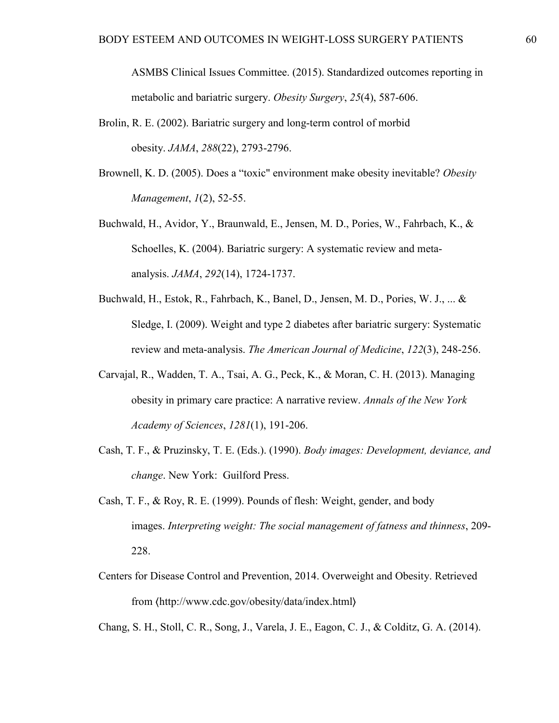ASMBS Clinical Issues Committee. (2015). Standardized outcomes reporting in metabolic and bariatric surgery. *Obesity Surgery*, *25*(4), 587-606.

- Brolin, R. E. (2002). Bariatric surgery and long-term control of morbid obesity. *JAMA*, *288*(22), 2793-2796.
- Brownell, K. D. (2005). Does a "toxic" environment make obesity inevitable? *Obesity Management*, *1*(2), 52-55.
- Buchwald, H., Avidor, Y., Braunwald, E., Jensen, M. D., Pories, W., Fahrbach, K., & Schoelles, K. (2004). Bariatric surgery: A systematic review and metaanalysis. *JAMA*, *292*(14), 1724-1737.
- Buchwald, H., Estok, R., Fahrbach, K., Banel, D., Jensen, M. D., Pories, W. J., ... & Sledge, I. (2009). Weight and type 2 diabetes after bariatric surgery: Systematic review and meta-analysis. *The American Journal of Medicine*, *122*(3), 248-256.
- Carvajal, R., Wadden, T. A., Tsai, A. G., Peck, K., & Moran, C. H. (2013). Managing obesity in primary care practice: A narrative review. *Annals of the New York Academy of Sciences*, *1281*(1), 191-206.
- Cash, T. F., & Pruzinsky, T. E. (Eds.). (1990). *Body images: Development, deviance, and change*. New York: Guilford Press.
- Cash, T. F., & Roy, R. E. (1999). Pounds of flesh: Weight, gender, and body images. *Interpreting weight: The social management of fatness and thinness*, 209- 228.
- Centers for Disease Control and Prevention, 2014. Overweight and Obesity. Retrieved from 〈http://www.cdc.gov/obesity/data/index.html〉

Chang, S. H., Stoll, C. R., Song, J., Varela, J. E., Eagon, C. J., & Colditz, G. A. (2014).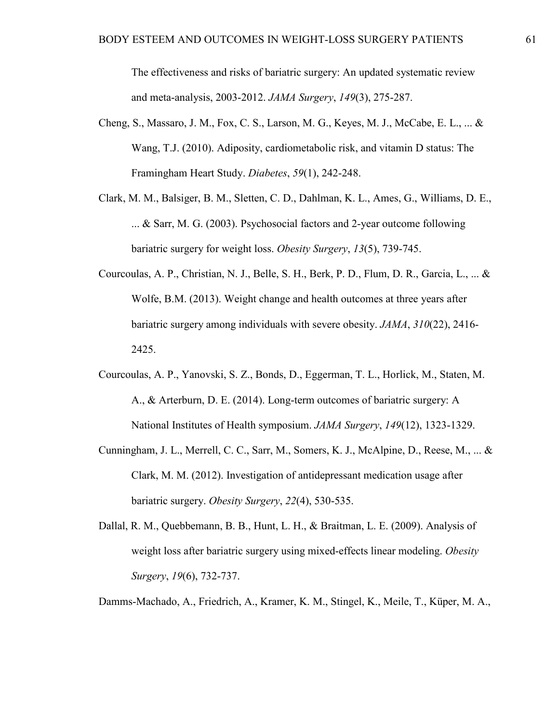The effectiveness and risks of bariatric surgery: An updated systematic review and meta-analysis, 2003-2012. *JAMA Surgery*, *149*(3), 275-287.

- Cheng, S., Massaro, J. M., Fox, C. S., Larson, M. G., Keyes, M. J., McCabe, E. L., ... & Wang, T.J. (2010). Adiposity, cardiometabolic risk, and vitamin D status: The Framingham Heart Study. *Diabetes*, *59*(1), 242-248.
- Clark, M. M., Balsiger, B. M., Sletten, C. D., Dahlman, K. L., Ames, G., Williams, D. E., ... & Sarr, M. G. (2003). Psychosocial factors and 2-year outcome following bariatric surgery for weight loss. *Obesity Surgery*, *13*(5), 739-745.
- Courcoulas, A. P., Christian, N. J., Belle, S. H., Berk, P. D., Flum, D. R., Garcia, L., ... & Wolfe, B.M. (2013). Weight change and health outcomes at three years after bariatric surgery among individuals with severe obesity. *JAMA*, *310*(22), 2416- 2425.
- Courcoulas, A. P., Yanovski, S. Z., Bonds, D., Eggerman, T. L., Horlick, M., Staten, M. A., & Arterburn, D. E. (2014). Long-term outcomes of bariatric surgery: A National Institutes of Health symposium. *JAMA Surgery*, *149*(12), 1323-1329.
- Cunningham, J. L., Merrell, C. C., Sarr, M., Somers, K. J., McAlpine, D., Reese, M., ... & Clark, M. M. (2012). Investigation of antidepressant medication usage after bariatric surgery. *Obesity Surgery*, *22*(4), 530-535.
- Dallal, R. M., Quebbemann, B. B., Hunt, L. H., & Braitman, L. E. (2009). Analysis of weight loss after bariatric surgery using mixed-effects linear modeling. *Obesity Surgery*, *19*(6), 732-737.

Damms-Machado, A., Friedrich, A., Kramer, K. M., Stingel, K., Meile, T., Küper, M. A.,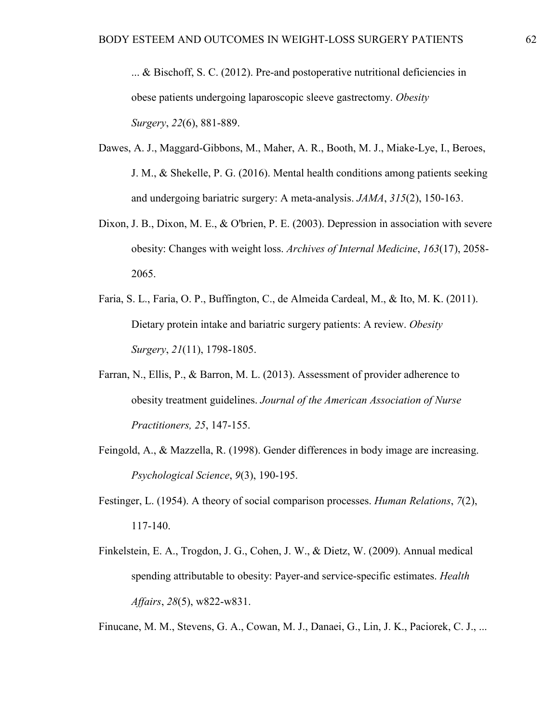... & Bischoff, S. C. (2012). Pre-and postoperative nutritional deficiencies in obese patients undergoing laparoscopic sleeve gastrectomy. *Obesity Surgery*, *22*(6), 881-889.

- Dawes, A. J., Maggard-Gibbons, M., Maher, A. R., Booth, M. J., Miake-Lye, I., Beroes, J. M., & Shekelle, P. G. (2016). Mental health conditions among patients seeking and undergoing bariatric surgery: A meta-analysis. *JAMA*, *315*(2), 150-163.
- Dixon, J. B., Dixon, M. E., & O'brien, P. E. (2003). Depression in association with severe obesity: Changes with weight loss. *Archives of Internal Medicine*, *163*(17), 2058- 2065.
- Faria, S. L., Faria, O. P., Buffington, C., de Almeida Cardeal, M., & Ito, M. K. (2011). Dietary protein intake and bariatric surgery patients: A review. *Obesity Surgery*, *21*(11), 1798-1805.
- Farran, N., Ellis, P., & Barron, M. L. (2013). Assessment of provider adherence to obesity treatment guidelines. *Journal of the American Association of Nurse Practitioners, 25*, 147-155.
- Feingold, A., & Mazzella, R. (1998). Gender differences in body image are increasing. *Psychological Science*, *9*(3), 190-195.
- Festinger, L. (1954). A theory of social comparison processes. *Human Relations*, *7*(2), 117-140.
- Finkelstein, E. A., Trogdon, J. G., Cohen, J. W., & Dietz, W. (2009). Annual medical spending attributable to obesity: Payer-and service-specific estimates. *Health Affairs*, *28*(5), w822-w831.

Finucane, M. M., Stevens, G. A., Cowan, M. J., Danaei, G., Lin, J. K., Paciorek, C. J., ...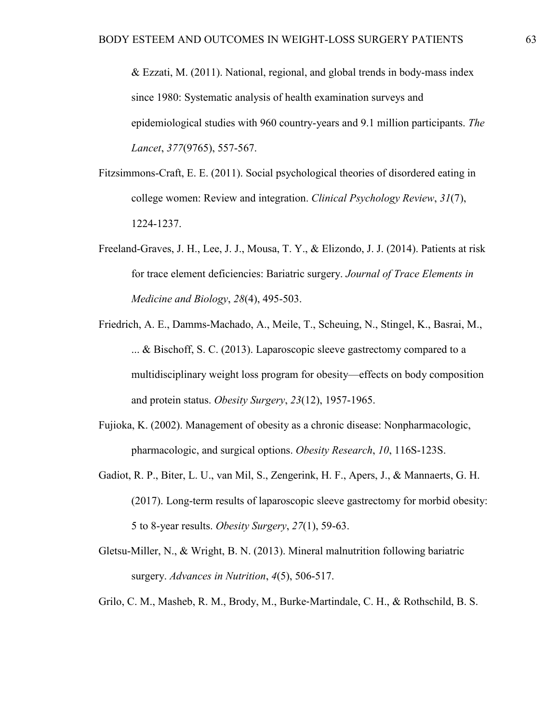& Ezzati, M. (2011). National, regional, and global trends in body-mass index since 1980: Systematic analysis of health examination surveys and epidemiological studies with 960 country-years and 9.1 million participants. *The Lancet*, *377*(9765), 557-567.

- Fitzsimmons-Craft, E. E. (2011). Social psychological theories of disordered eating in college women: Review and integration. *Clinical Psychology Review*, *31*(7), 1224-1237.
- Freeland-Graves, J. H., Lee, J. J., Mousa, T. Y., & Elizondo, J. J. (2014). Patients at risk for trace element deficiencies: Bariatric surgery. *Journal of Trace Elements in Medicine and Biology*, *28*(4), 495-503.
- Friedrich, A. E., Damms-Machado, A., Meile, T., Scheuing, N., Stingel, K., Basrai, M., ... & Bischoff, S. C. (2013). Laparoscopic sleeve gastrectomy compared to a multidisciplinary weight loss program for obesity—effects on body composition and protein status. *Obesity Surgery*, *23*(12), 1957-1965.
- Fujioka, K. (2002). Management of obesity as a chronic disease: Nonpharmacologic, pharmacologic, and surgical options. *Obesity Research*, *10*, 116S-123S.
- Gadiot, R. P., Biter, L. U., van Mil, S., Zengerink, H. F., Apers, J., & Mannaerts, G. H. (2017). Long-term results of laparoscopic sleeve gastrectomy for morbid obesity: 5 to 8-year results. *Obesity Surgery*, *27*(1), 59-63.
- Gletsu-Miller, N., & Wright, B. N. (2013). Mineral malnutrition following bariatric surgery. *Advances in Nutrition*, *4*(5), 506-517.
- Grilo, C. M., Masheb, R. M., Brody, M., Burke‐Martindale, C. H., & Rothschild, B. S.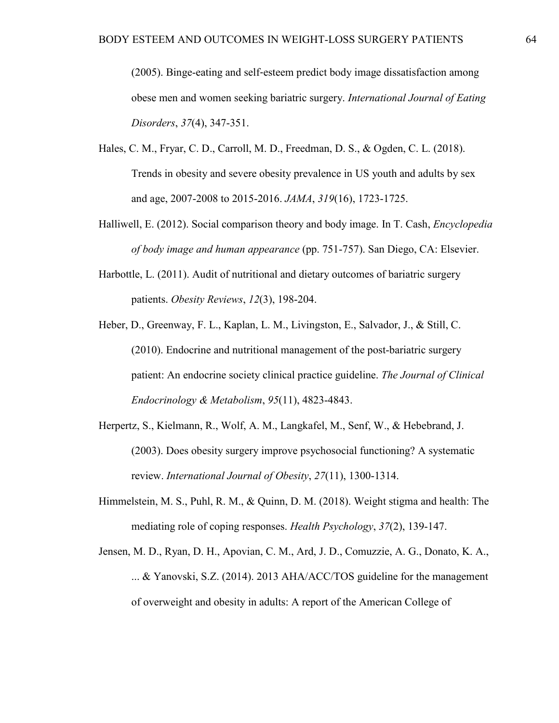(2005). Binge-eating and self‐esteem predict body image dissatisfaction among obese men and women seeking bariatric surgery. *International Journal of Eating Disorders*, *37*(4), 347-351.

- Hales, C. M., Fryar, C. D., Carroll, M. D., Freedman, D. S., & Ogden, C. L. (2018). Trends in obesity and severe obesity prevalence in US youth and adults by sex and age, 2007-2008 to 2015-2016. *JAMA*, *319*(16), 1723-1725.
- Halliwell, E. (2012). Social comparison theory and body image. In T. Cash, *Encyclopedia of body image and human appearance* (pp. 751-757). San Diego, CA: Elsevier.
- Harbottle, L. (2011). Audit of nutritional and dietary outcomes of bariatric surgery patients. *Obesity Reviews*, *12*(3), 198-204.
- Heber, D., Greenway, F. L., Kaplan, L. M., Livingston, E., Salvador, J., & Still, C. (2010). Endocrine and nutritional management of the post-bariatric surgery patient: An endocrine society clinical practice guideline. *The Journal of Clinical Endocrinology & Metabolism*, *95*(11), 4823-4843.
- Herpertz, S., Kielmann, R., Wolf, A. M., Langkafel, M., Senf, W., & Hebebrand, J. (2003). Does obesity surgery improve psychosocial functioning? A systematic review. *International Journal of Obesity*, *27*(11), 1300-1314.
- Himmelstein, M. S., Puhl, R. M., & Quinn, D. M. (2018). Weight stigma and health: The mediating role of coping responses. *Health Psychology*, *37*(2), 139-147.
- Jensen, M. D., Ryan, D. H., Apovian, C. M., Ard, J. D., Comuzzie, A. G., Donato, K. A., ... & Yanovski, S.Z. (2014). 2013 AHA/ACC/TOS guideline for the management of overweight and obesity in adults: A report of the American College of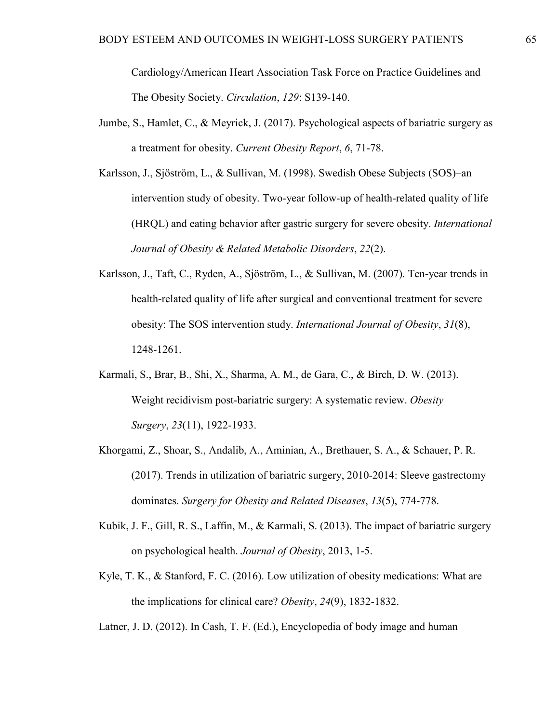Cardiology/American Heart Association Task Force on Practice Guidelines and The Obesity Society. *Circulation*, *129*: S139-140.

- Jumbe, S., Hamlet, C., & Meyrick, J. (2017). Psychological aspects of bariatric surgery as a treatment for obesity. *Current Obesity Report*, *6*, 71-78.
- Karlsson, J., Sjöström, L., & Sullivan, M. (1998). Swedish Obese Subjects (SOS)–an intervention study of obesity. Two-year follow-up of health-related quality of life (HRQL) and eating behavior after gastric surgery for severe obesity. *International Journal of Obesity & Related Metabolic Disorders*, *22*(2).
- Karlsson, J., Taft, C., Ryden, A., Sjöström, L., & Sullivan, M. (2007). Ten-year trends in health-related quality of life after surgical and conventional treatment for severe obesity: The SOS intervention study. *International Journal of Obesity*, *31*(8), 1248-1261.
- Karmali, S., Brar, B., Shi, X., Sharma, A. M., de Gara, C., & Birch, D. W. (2013). Weight recidivism post-bariatric surgery: A systematic review. *Obesity Surgery*, *23*(11), 1922-1933.
- Khorgami, Z., Shoar, S., Andalib, A., Aminian, A., Brethauer, S. A., & Schauer, P. R. (2017). Trends in utilization of bariatric surgery, 2010-2014: Sleeve gastrectomy dominates. *Surgery for Obesity and Related Diseases*, *13*(5), 774-778.
- Kubik, J. F., Gill, R. S., Laffin, M., & Karmali, S. (2013). The impact of bariatric surgery on psychological health. *Journal of Obesity*, 2013, 1-5.
- Kyle, T. K., & Stanford, F. C. (2016). Low utilization of obesity medications: What are the implications for clinical care? *Obesity*, *24*(9), 1832-1832.

Latner, J. D. (2012). In Cash, T. F. (Ed.), Encyclopedia of body image and human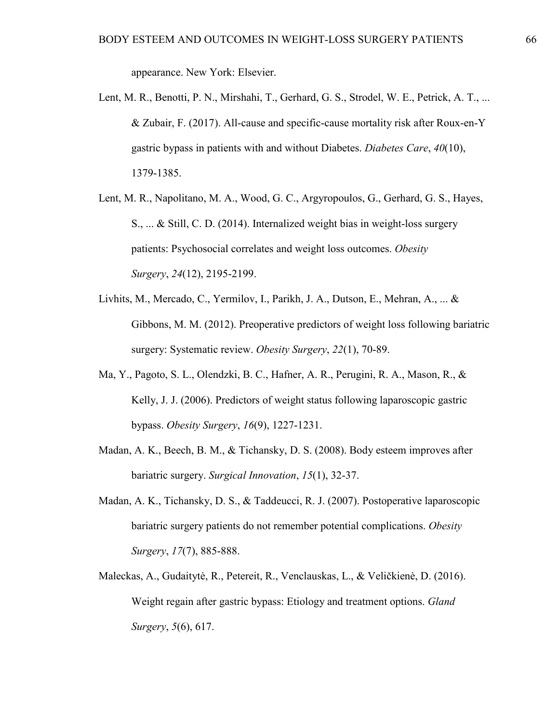appearance. New York: Elsevier.

- Lent, M. R., Benotti, P. N., Mirshahi, T., Gerhard, G. S., Strodel, W. E., Petrick, A. T., ... & Zubair, F. (2017). All-cause and specific-cause mortality risk after Roux-en-Y gastric bypass in patients with and without Diabetes. *Diabetes Care*, *40*(10), 1379-1385.
- Lent, M. R., Napolitano, M. A., Wood, G. C., Argyropoulos, G., Gerhard, G. S., Hayes, S., ... & Still, C. D. (2014). Internalized weight bias in weight-loss surgery patients: Psychosocial correlates and weight loss outcomes. *Obesity Surgery*, *24*(12), 2195-2199.
- Livhits, M., Mercado, C., Yermilov, I., Parikh, J. A., Dutson, E., Mehran, A., ... & Gibbons, M. M. (2012). Preoperative predictors of weight loss following bariatric surgery: Systematic review. *Obesity Surgery*, *22*(1), 70-89.
- Ma, Y., Pagoto, S. L., Olendzki, B. C., Hafner, A. R., Perugini, R. A., Mason, R., & Kelly, J. J. (2006). Predictors of weight status following laparoscopic gastric bypass. *Obesity Surgery*, *16*(9), 1227-1231.
- Madan, A. K., Beech, B. M., & Tichansky, D. S. (2008). Body esteem improves after bariatric surgery. *Surgical Innovation*, *15*(1), 32-37.
- Madan, A. K., Tichansky, D. S., & Taddeucci, R. J. (2007). Postoperative laparoscopic bariatric surgery patients do not remember potential complications. *Obesity Surgery*, *17*(7), 885-888.
- Maleckas, A., Gudaitytė, R., Petereit, R., Venclauskas, L., & Veličkienė, D. (2016). Weight regain after gastric bypass: Etiology and treatment options. *Gland Surgery*, *5*(6), 617.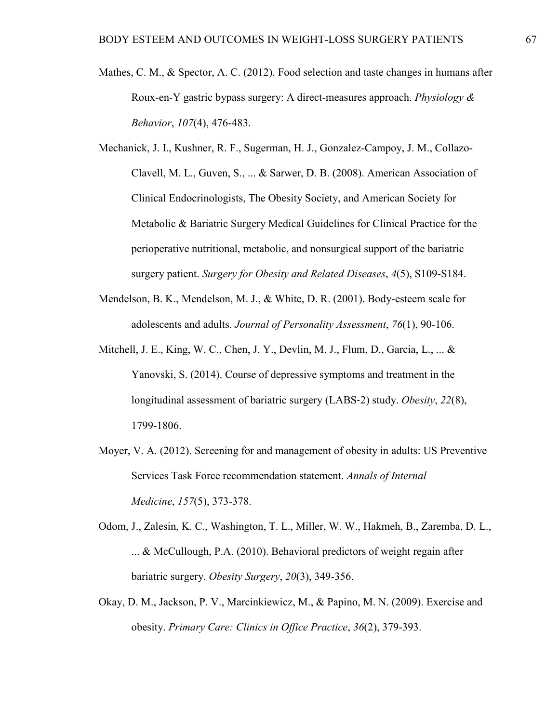- Mathes, C. M., & Spector, A. C. (2012). Food selection and taste changes in humans after Roux-en-Y gastric bypass surgery: A direct-measures approach. *Physiology & Behavior*, *107*(4), 476-483.
- Mechanick, J. I., Kushner, R. F., Sugerman, H. J., Gonzalez-Campoy, J. M., Collazo-Clavell, M. L., Guven, S., ... & Sarwer, D. B. (2008). American Association of Clinical Endocrinologists, The Obesity Society, and American Society for Metabolic & Bariatric Surgery Medical Guidelines for Clinical Practice for the perioperative nutritional, metabolic, and nonsurgical support of the bariatric surgery patient. *Surgery for Obesity and Related Diseases*, *4*(5), S109-S184.
- Mendelson, B. K., Mendelson, M. J., & White, D. R. (2001). Body-esteem scale for adolescents and adults. *Journal of Personality Assessment*, *76*(1), 90-106.
- Mitchell, J. E., King, W. C., Chen, J. Y., Devlin, M. J., Flum, D., Garcia, L., ... & Yanovski, S. (2014). Course of depressive symptoms and treatment in the longitudinal assessment of bariatric surgery (LABS‐2) study. *Obesity*, *22*(8), 1799-1806.
- Moyer, V. A. (2012). Screening for and management of obesity in adults: US Preventive Services Task Force recommendation statement. *Annals of Internal Medicine*, *157*(5), 373-378.
- Odom, J., Zalesin, K. C., Washington, T. L., Miller, W. W., Hakmeh, B., Zaremba, D. L., ... & McCullough, P.A. (2010). Behavioral predictors of weight regain after bariatric surgery. *Obesity Surgery*, *20*(3), 349-356.
- Okay, D. M., Jackson, P. V., Marcinkiewicz, M., & Papino, M. N. (2009). Exercise and obesity. *Primary Care: Clinics in Office Practice*, *36*(2), 379-393.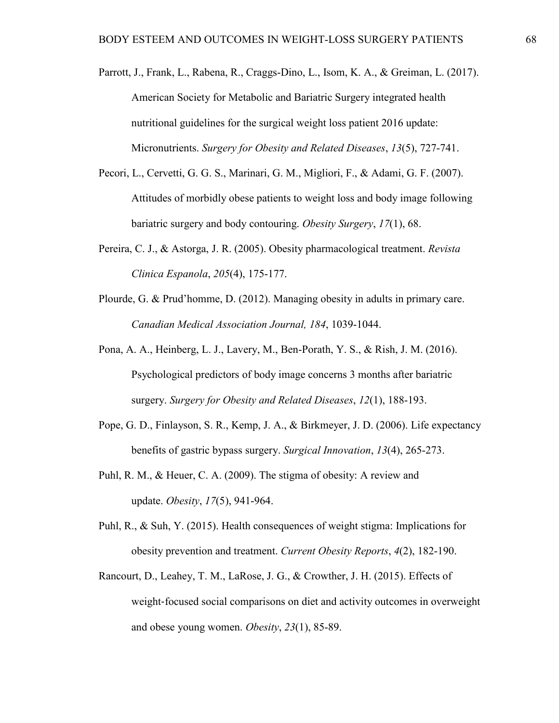- Parrott, J., Frank, L., Rabena, R., Craggs-Dino, L., Isom, K. A., & Greiman, L. (2017). American Society for Metabolic and Bariatric Surgery integrated health nutritional guidelines for the surgical weight loss patient 2016 update: Micronutrients. *Surgery for Obesity and Related Diseases*, *13*(5), 727-741.
- Pecori, L., Cervetti, G. G. S., Marinari, G. M., Migliori, F., & Adami, G. F. (2007). Attitudes of morbidly obese patients to weight loss and body image following bariatric surgery and body contouring. *Obesity Surgery*, *17*(1), 68.
- Pereira, C. J., & Astorga, J. R. (2005). Obesity pharmacological treatment. *Revista Clinica Espanola*, *205*(4), 175-177.
- Plourde, G. & Prud'homme, D. (2012). Managing obesity in adults in primary care. *Canadian Medical Association Journal, 184*, 1039-1044.
- Pona, A. A., Heinberg, L. J., Lavery, M., Ben-Porath, Y. S., & Rish, J. M. (2016). Psychological predictors of body image concerns 3 months after bariatric surgery. *Surgery for Obesity and Related Diseases*, *12*(1), 188-193.
- Pope, G. D., Finlayson, S. R., Kemp, J. A., & Birkmeyer, J. D. (2006). Life expectancy benefits of gastric bypass surgery. *Surgical Innovation*, *13*(4), 265-273.
- Puhl, R. M., & Heuer, C. A. (2009). The stigma of obesity: A review and update. *Obesity*, *17*(5), 941-964.
- Puhl, R., & Suh, Y. (2015). Health consequences of weight stigma: Implications for obesity prevention and treatment. *Current Obesity Reports*, *4*(2), 182-190.
- Rancourt, D., Leahey, T. M., LaRose, J. G., & Crowther, J. H. (2015). Effects of weight-focused social comparisons on diet and activity outcomes in overweight and obese young women. *Obesity*, *23*(1), 85-89.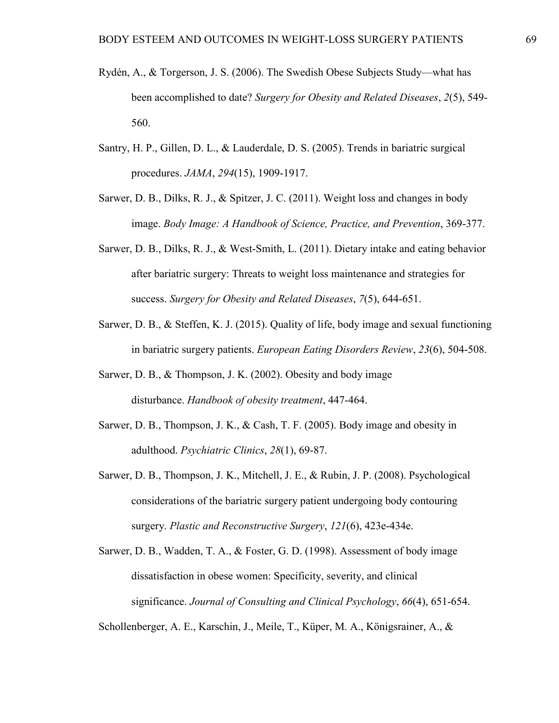- Rydén, A., & Torgerson, J. S. (2006). The Swedish Obese Subjects Study—what has been accomplished to date? *Surgery for Obesity and Related Diseases*, *2*(5), 549- 560.
- Santry, H. P., Gillen, D. L., & Lauderdale, D. S. (2005). Trends in bariatric surgical procedures. *JAMA*, *294*(15), 1909-1917.
- Sarwer, D. B., Dilks, R. J., & Spitzer, J. C. (2011). Weight loss and changes in body image. *Body Image: A Handbook of Science, Practice, and Prevention*, 369-377.
- Sarwer, D. B., Dilks, R. J., & West-Smith, L. (2011). Dietary intake and eating behavior after bariatric surgery: Threats to weight loss maintenance and strategies for success. *Surgery for Obesity and Related Diseases*, *7*(5), 644-651.
- Sarwer, D. B., & Steffen, K. J. (2015). Quality of life, body image and sexual functioning in bariatric surgery patients. *European Eating Disorders Review*, *23*(6), 504-508.
- Sarwer, D. B., & Thompson, J. K. (2002). Obesity and body image disturbance. *Handbook of obesity treatment*, 447-464.
- Sarwer, D. B., Thompson, J. K., & Cash, T. F. (2005). Body image and obesity in adulthood. *Psychiatric Clinics*, *28*(1), 69-87.
- Sarwer, D. B., Thompson, J. K., Mitchell, J. E., & Rubin, J. P. (2008). Psychological considerations of the bariatric surgery patient undergoing body contouring surgery. *Plastic and Reconstructive Surgery*, *121*(6), 423e-434e.
- Sarwer, D. B., Wadden, T. A., & Foster, G. D. (1998). Assessment of body image dissatisfaction in obese women: Specificity, severity, and clinical significance. *Journal of Consulting and Clinical Psychology*, *66*(4), 651-654.

Schollenberger, A. E., Karschin, J., Meile, T., Küper, M. A., Königsrainer, A., &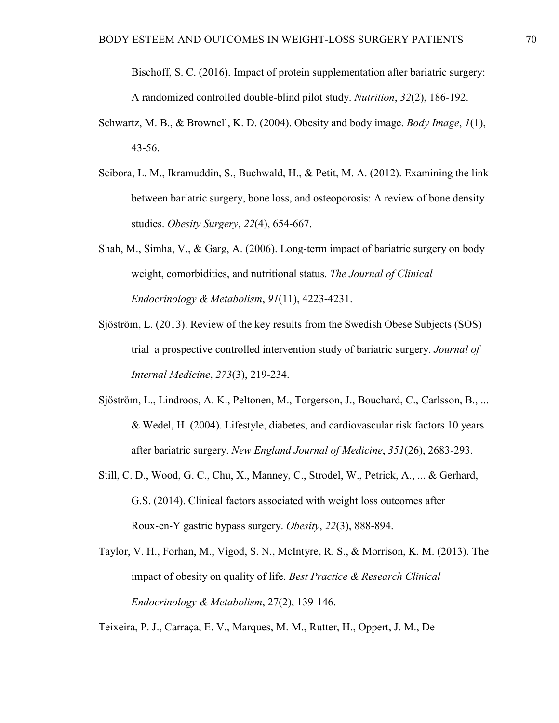Bischoff, S. C. (2016). Impact of protein supplementation after bariatric surgery: A randomized controlled double-blind pilot study. *Nutrition*, *32*(2), 186-192.

- Schwartz, M. B., & Brownell, K. D. (2004). Obesity and body image. *Body Image*, *1*(1), 43-56.
- Scibora, L. M., Ikramuddin, S., Buchwald, H., & Petit, M. A. (2012). Examining the link between bariatric surgery, bone loss, and osteoporosis: A review of bone density studies. *Obesity Surgery*, *22*(4), 654-667.
- Shah, M., Simha, V., & Garg, A. (2006). Long-term impact of bariatric surgery on body weight, comorbidities, and nutritional status. *The Journal of Clinical Endocrinology & Metabolism*, *91*(11), 4223-4231.
- Sjöström, L. (2013). Review of the key results from the Swedish Obese Subjects (SOS) trial–a prospective controlled intervention study of bariatric surgery. *Journal of Internal Medicine*, *273*(3), 219-234.
- Sjöström, L., Lindroos, A. K., Peltonen, M., Torgerson, J., Bouchard, C., Carlsson, B., ... & Wedel, H. (2004). Lifestyle, diabetes, and cardiovascular risk factors 10 years after bariatric surgery. *New England Journal of Medicine*, *351*(26), 2683-293.
- Still, C. D., Wood, G. C., Chu, X., Manney, C., Strodel, W., Petrick, A., ... & Gerhard, G.S. (2014). Clinical factors associated with weight loss outcomes after Roux‐en‐Y gastric bypass surgery. *Obesity*, *22*(3), 888-894.
- Taylor, V. H., Forhan, M., Vigod, S. N., McIntyre, R. S., & Morrison, K. M. (2013). The impact of obesity on quality of life. *Best Practice & Research Clinical Endocrinology & Metabolism*, 27(2), 139-146.

Teixeira, P. J., Carraça, E. V., Marques, M. M., Rutter, H., Oppert, J. M., De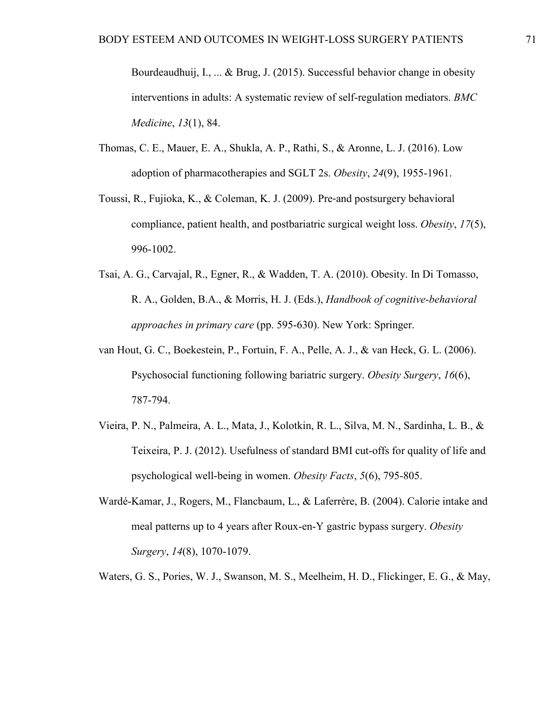Bourdeaudhuij, I., ... & Brug, J. (2015). Successful behavior change in obesity interventions in adults: A systematic review of self-regulation mediators. *BMC Medicine*, *13*(1), 84.

- Thomas, C. E., Mauer, E. A., Shukla, A. P., Rathi, S., & Aronne, L. J. (2016). Low adoption of pharmacotherapies and SGLT 2s. *Obesity*, *24*(9), 1955-1961.
- Toussi, R., Fujioka, K., & Coleman, K. J. (2009). Pre‐and postsurgery behavioral compliance, patient health, and postbariatric surgical weight loss. *Obesity*, *17*(5), 996-1002.
- Tsai, A. G., Carvajal, R., Egner, R., & Wadden, T. A. (2010). Obesity. In Di Tomasso, R. A., Golden, B.A., & Morris, H. J. (Eds.), *Handbook of cognitive-behavioral approaches in primary care* (pp. 595-630). New York: Springer.
- van Hout, G. C., Boekestein, P., Fortuin, F. A., Pelle, A. J., & van Heck, G. L. (2006). Psychosocial functioning following bariatric surgery. *Obesity Surgery*, *16*(6), 787-794.
- Vieira, P. N., Palmeira, A. L., Mata, J., Kolotkin, R. L., Silva, M. N., Sardinha, L. B., & Teixeira, P. J. (2012). Usefulness of standard BMI cut-offs for quality of life and psychological well-being in women. *Obesity Facts*, *5*(6), 795-805.
- Wardé-Kamar, J., Rogers, M., Flancbaum, L., & Laferrère, B. (2004). Calorie intake and meal patterns up to 4 years after Roux-en-Y gastric bypass surgery. *Obesity Surgery*, *14*(8), 1070-1079.

Waters, G. S., Pories, W. J., Swanson, M. S., Meelheim, H. D., Flickinger, E. G., & May,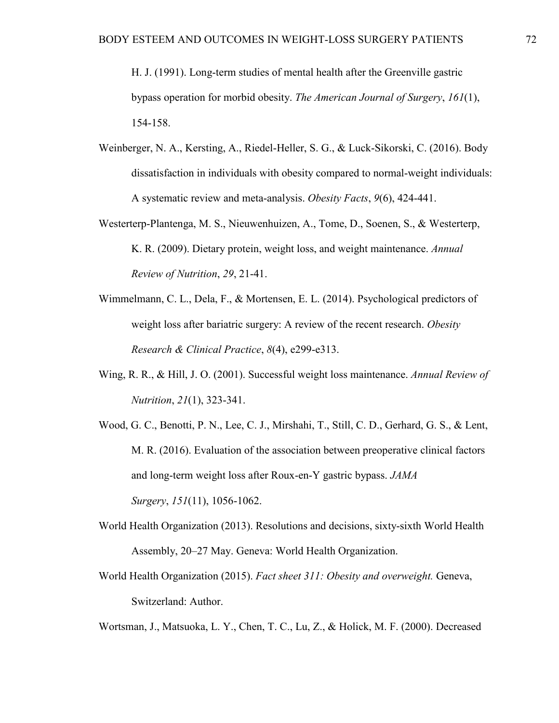H. J. (1991). Long-term studies of mental health after the Greenville gastric bypass operation for morbid obesity. *The American Journal of Surgery*, *161*(1), 154-158.

- Weinberger, N. A., Kersting, A., Riedel-Heller, S. G., & Luck-Sikorski, C. (2016). Body dissatisfaction in individuals with obesity compared to normal-weight individuals: A systematic review and meta-analysis. *Obesity Facts*, *9*(6), 424-441.
- Westerterp-Plantenga, M. S., Nieuwenhuizen, A., Tome, D., Soenen, S., & Westerterp, K. R. (2009). Dietary protein, weight loss, and weight maintenance. *Annual Review of Nutrition*, *29*, 21-41.
- Wimmelmann, C. L., Dela, F., & Mortensen, E. L. (2014). Psychological predictors of weight loss after bariatric surgery: A review of the recent research. *Obesity Research & Clinical Practice*, *8*(4), e299-e313.
- Wing, R. R., & Hill, J. O. (2001). Successful weight loss maintenance. *Annual Review of Nutrition*, *21*(1), 323-341.
- Wood, G. C., Benotti, P. N., Lee, C. J., Mirshahi, T., Still, C. D., Gerhard, G. S., & Lent, M. R. (2016). Evaluation of the association between preoperative clinical factors and long-term weight loss after Roux-en-Y gastric bypass. *JAMA Surgery*, *151*(11), 1056-1062.
- World Health Organization (2013). Resolutions and decisions, sixty-sixth World Health Assembly, 20–27 May. Geneva: World Health Organization.
- World Health Organization (2015). *Fact sheet 311: Obesity and overweight.* Geneva, Switzerland: Author.

Wortsman, J., Matsuoka, L. Y., Chen, T. C., Lu, Z., & Holick, M. F. (2000). Decreased